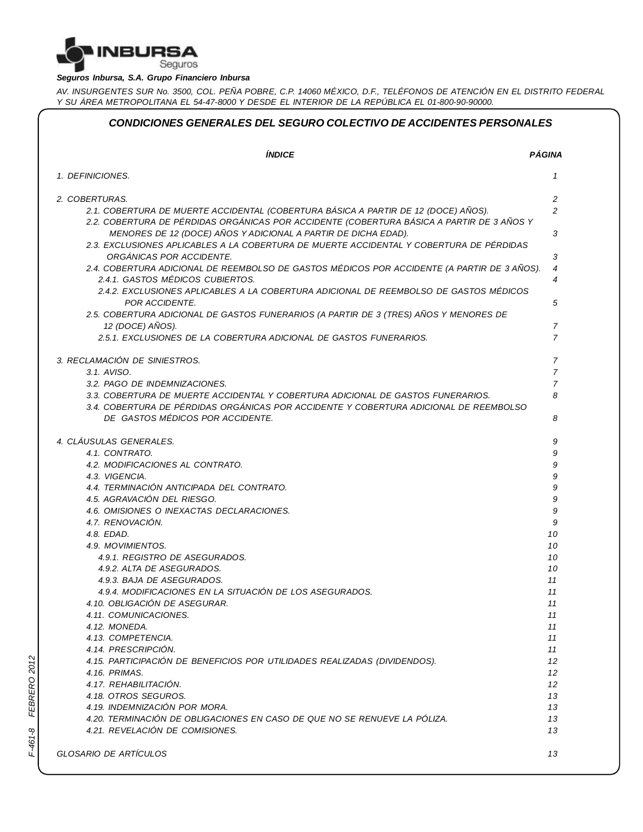

#### *Seguros Inbursa, S.A. Grupo Financiero Inbursa*

AV. INSURGENTES SUR No. 3500, COL. PEÑA POBRE, C.P. 14060 MÉXICO, D.F., TELÉFONOS DE ATENCIÓN EN EL DISTRITO FEDERAL *Y SU ÁREA METROPOLITANA EL 54-47-8000 Y DESDE EL INTERIOR DE LA REPÚBLICA EL 01-800-90-90000.*

| <b>ÍNDICE</b>                                                                                                                                                                   | <b>PÁGINA</b>                    |
|---------------------------------------------------------------------------------------------------------------------------------------------------------------------------------|----------------------------------|
| 1. DEFINICIONES.                                                                                                                                                                | 1                                |
| 2. COBERTURAS.                                                                                                                                                                  | 2                                |
| 2.1. COBERTURA DE MUERTE ACCIDENTAL (COBERTURA BÁSICA A PARTIR DE 12 (DOCE) AÑOS).<br>2.2. COBERTURA DE PÉRDIDAS ORGÁNICAS POR ACCIDENTE (COBERTURA BÁSICA A PARTIR DE 3 AÑOS Y | $\overline{c}$                   |
| MENORES DE 12 (DOCE) AÑOS Y ADICIONAL A PARTIR DE DICHA EDAD).<br>2.3. EXCLUSIONES APLICABLES A LA COBERTURA DE MUERTE ACCIDENTAL Y COBERTURA DE PÉRDIDAS                       | 3                                |
| ORGÁNICAS POR ACCIDENTE.                                                                                                                                                        | 3                                |
| 2.4. COBERTURA ADICIONAL DE REEMBOLSO DE GASTOS MÉDICOS POR ACCIDENTE (A PARTIR DE 3 AÑOS).<br>2.4.1. GASTOS MÉDICOS CUBIERTOS.                                                 | $\overline{4}$<br>$\overline{4}$ |
| 2.4.2. EXCLUSIONES APLICABLES A LA COBERTURA ADICIONAL DE REEMBOLSO DE GASTOS MÉDICOS<br>POR ACCIDENTE.                                                                         | 5                                |
| 2.5. COBERTURA ADICIONAL DE GASTOS FUNERARIOS (A PARTIR DE 3 (TRES) AÑOS Y MENORES DE                                                                                           |                                  |
| 12 (DOCE) AÑOS).                                                                                                                                                                | $\overline{7}$                   |
| 2.5.1. EXCLUSIONES DE LA COBERTURA ADICIONAL DE GASTOS FUNERARIOS.                                                                                                              | $\overline{7}$                   |
| 3. RECLAMACIÓN DE SINIESTROS.                                                                                                                                                   | $\overline{7}$                   |
| 3.1. AVISO.                                                                                                                                                                     | $\overline{7}$                   |
| 3.2. PAGO DE INDEMNIZACIONES.<br>3.3. COBERTURA DE MUERTE ACCIDENTAL Y COBERTURA ADICIONAL DE GASTOS FUNERARIOS.                                                                | $\overline{7}$<br>8              |
| 3.4. COBERTURA DE PÉRDIDAS ORGÁNICAS POR ACCIDENTE Y COBERTURA ADICIONAL DE REEMBOLSO                                                                                           |                                  |
| DE GASTOS MÉDICOS POR ACCIDENTE.                                                                                                                                                | 8                                |
| 4. CLÁUSULAS GENERALES.                                                                                                                                                         | 9                                |
| 4.1. CONTRATO.                                                                                                                                                                  | 9                                |
| 4.2. MODIFICACIONES AL CONTRATO.                                                                                                                                                | 9                                |
| 4.3. VIGENCIA.                                                                                                                                                                  | 9                                |
| 4.4. TERMINACIÓN ANTICIPADA DEL CONTRATO.                                                                                                                                       | 9                                |
| 4.5. AGRAVACIÓN DEL RIESGO.                                                                                                                                                     | 9                                |
| 4.6. OMISIONES O INEXACTAS DECLARACIONES.                                                                                                                                       | 9                                |
| 4.7. RENOVACIÓN.<br>4.8. EDAD.                                                                                                                                                  | 9<br>10                          |
| 4.9. MOVIMIENTOS.                                                                                                                                                               | 10                               |
| 4.9.1. REGISTRO DE ASEGURADOS.                                                                                                                                                  | 10                               |
| 4.9.2. ALTA DE ASEGURADOS.                                                                                                                                                      | 10                               |
| 4.9.3. BAJA DE ASEGURADOS.                                                                                                                                                      | 11                               |
| 4.9.4. MODIFICACIONES EN LA SITUACIÓN DE LOS ASEGURADOS.                                                                                                                        | 11                               |
| 4.10. OBLIGACIÓN DE ASEGURAR.                                                                                                                                                   | 11                               |
| 4.11. COMUNICACIONES.                                                                                                                                                           | 11                               |
| 4.12. MONEDA.                                                                                                                                                                   | 11                               |
| 4.13. COMPETENCIA.                                                                                                                                                              | 11                               |
| 4.14. PRESCRIPCIÓN.                                                                                                                                                             | 11                               |
| 4.15. PARTICIPACIÓN DE BENEFICIOS POR UTILIDADES REALIZADAS (DIVIDENDOS).                                                                                                       | 12                               |
| 4.16. PRIMAS.                                                                                                                                                                   | 12                               |
| 4.17. REHABILITACIÓN.                                                                                                                                                           | 12                               |
| 4.18. OTROS SEGUROS.                                                                                                                                                            | 13                               |
| 4.19. INDEMNIZACIÓN POR MORA.                                                                                                                                                   | 13                               |
| 4.20. TERMINACIÓN DE OBLIGACIONES EN CASO DE QUE NO SE RENUEVE LA PÓLIZA.                                                                                                       | 13                               |
| 4.21. REVELACIÓN DE COMISIONES.                                                                                                                                                 | 13                               |

*FRER O 2012*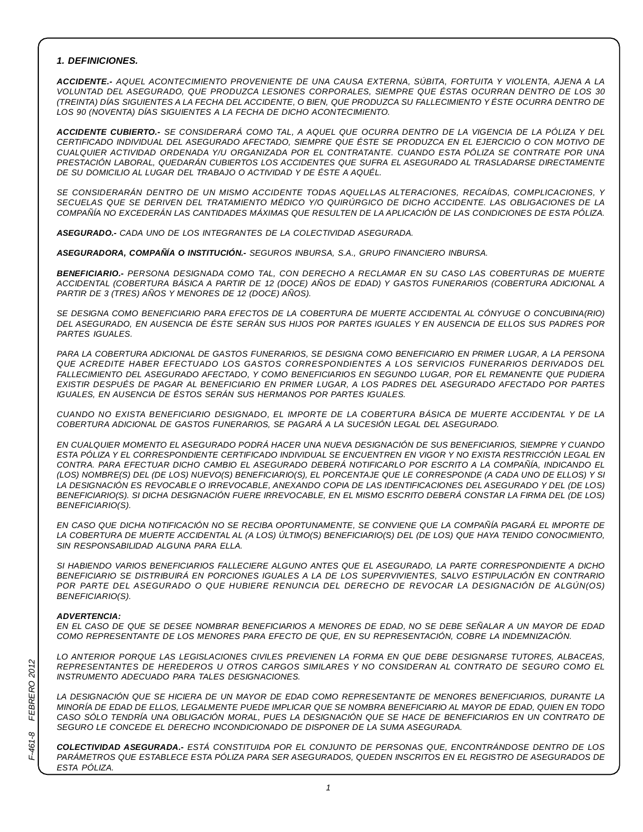#### *1. DEFINICIONES.*

*ACCIDENTE.- AQUEL ACONTECIMIENTO PROVENIENTE DE UNA CAUSA EXTERNA, SÚBITA, FORTUITA Y VIOLENTA, AJENA A LA VOLUNTAD DEL ASEGURADO, QUE PRODUZCA LESIONES CORPORALES, SIEMPRE QUE ÉSTAS OCURRAN DENTRO DE LOS 30* (TREINTA) DÍAS SIGUIENTES A LA FECHA DEL ACCIDENTE, O BIEN, QUE PRODUZCA SU FALLECIMIENTO Y ÉSTE OCURRA DENTRO DE *LOS 90 (NOVENTA) DÍAS SIGUIENTES A LA FECHA DE DICHO ACONTECIMIENTO.*

ACCIDENTE CUBIERTO.- SE CONSIDERARÁ COMO TAL, A AQUEL QUE OCURRA DENTRO DE LA VIGENCIA DE LA PÓLIZA Y DEL CERTIFICADO INDIVIDUAL DEL ASEGURADO AFECTADO. SIEMPRE QUE ÉSTE SE PRODUZCA EN EL EJERCICIO O CON MOTIVO DE *CUALQUIER ACTIVIDAD ORDENADA Y/U ORGANIZADA POR EL CONTRATANTE. CUANDO ESTA PÓLIZA SE CONTRATE POR UNA PRESTACIÓN LABORAL, QUEDARÁN CUBIERTOS LOS ACCIDENTES QUE SUFRA EL ASEGURADO AL TRASLADARSE DIRECTAMENTE DE SU DOMICILIO AL LUGAR DEL TRABAJO O ACTIVIDAD Y DE ÉSTE A AQUÉL.*

*SE CONSIDERARÁN DENTRO DE UN MISMO ACCIDENTE TODAS AQUELLAS ALTERACIONES, RECAÍDAS, COMPLICACIONES, Y SECUELAS QUE SE DERIVEN DEL TRATAMIENTO MÉDICO Y/O QUIRÚRGICO DE DICHO ACCIDENTE. LAS OBLIGACIONES DE LA* COMPAÑÍA NO EXCEDERÁN LAS CANTIDADES MÁXIMAS QUE RESULTEN DE LA APLICACIÓN DE LAS CONDICIONES DE ESTA PÓLIZA.

*ASEGURADO.- CADA UNO DE LOS INTEGRANTES DE LA COLECTIVIDAD ASEGURADA.*

*ASEGURADORA, COMPAÑÍA O INSTITUCIÓN.- SEGUROS INBURSA, S.A., GRUPO FINANCIERO INBURSA.*

*BENEFICIARIO.- PERSONA DESIGNADA COMO TAL, CON DERECHO A RECLAMAR EN SU CASO LAS COBERTURAS DE MUERTE ACCIDENTAL (COBERTURA BÁSICA A PARTIR DE 12 (DOCE) AÑOS DE EDAD) Y GASTOS FUNERARIOS (COBERTURA ADICIONAL A PARTIR DE 3 (TRES) AÑOS Y MENORES DE 12 (DOCE) AÑOS).*

*SE DESIGNA COMO BENEFICIARIO PARA EFECTOS DE LA COBERTURA DE MUERTE ACCIDENTAL AL CÓNYUGE O CONCUBINA(RIO)* DEL ASEGURADO, EN AUSENCIA DE ÉSTE SERÁN SUS HIJOS POR PARTES IGUALES Y EN AUSENCIA DE ELLOS SUS PADRES POR *PARTES IGUALES.*

PARA LA COBERTURA ADICIONAL DE GASTOS FUNERARIOS, SE DESIGNA COMO BENEFICIARIO EN PRIMER LUGAR, A LA PERSONA *QUE ACREDITE HABER EFECTUADO LOS GASTOS CORRESPONDIENTES A LOS SERVICIOS FUNERARIOS DERIVADOS DEL FALLECIMIENTO DEL ASEGURADO AFECTADO, Y COMO BENEFICIARIOS EN SEGUNDO LUGAR, POR EL REMANENTE QUE PUDIERA EXISTIR DESPUÉS DE PAGAR AL BENEFICIARIO EN PRIMER LUGAR, A LOS PADRES DEL ASEGURADO AFECTADO POR PARTES IGUALES, EN AUSENCIA DE ÉSTOS SERÁN SUS HERMANOS POR PARTES IGUALES.*

*CUANDO NO EXISTA BENEFICIARIO DESIGNADO, EL IMPORTE DE LA COBERTURA BÁSICA DE MUERTE ACCIDENTAL Y DE LA COBERTURA ADICIONAL DE GASTOS FUNERARIOS, SE PAGARÁ A LA SUCESIÓN LEGAL DEL ASEGURADO.*

*EN CUALQUIER MOMENTO EL ASEGURADO PODRÁ HACER UNA NUEVA DESIGNACIÓN DE SUS BENEFICIARIOS, SIEMPRE Y CUANDO* ESTA PÓLIZA Y EL CORRESPONDIENTE CERTIFICADO INDIVIDUAL SE ENCUENTREN EN VIGOR Y NO EXISTA RESTRICCIÓN LEGAL EN *CONTRA. PARA EFECTUAR DICHO CAMBIO EL ASEGURADO DEBERÁ NOTIFICARLO POR ESCRITO A LA COMPAÑÍA, INDICANDO EL* (LOS) NOMBRE(S) DEL (DE LOS) NUEVO(S) BENEFICIARIO(S), EL PORCENTAJE QUE LE CORRESPONDE (A CADA UNO DE ELLOS) Y SI *LA DESIGNACIÓN ES REVOCABLE O IRREVOCABLE, ANEXANDO COPIA DE LAS IDENTIFICACIONES DEL ASEGURADO Y DEL (DE LOS)* BENEFICIARIO(S). SI DICHA DESIGNACIÓN FUERE IRREVOCABLE, EN EL MISMO ESCRITO DEBERÁ CONSTAR LA FIRMA DEL (DE LOS) *BENEFICIARIO(S).*

EN CASO QUE DICHA NOTIFICACIÓN NO SE RECIBA OPORTUNAMENTE, SE CONVIENE QUE LA COMPAÑÍA PAGARÁ EL IMPORTE DE LA COBERTURA DE MUERTE ACCIDENTAL AL (A LOS) ÚLTIMO(S) BENEFICIARIO(S) DEL (DE LOS) QUE HAYA TENIDO CONOCIMIENTO, *SIN RESPONSABILIDAD ALGUNA PARA ELLA.*

*SI HABIENDO VARIOS BENEFICIARIOS FALLECIERE ALGUNO ANTES QUE EL ASEGURADO, LA PARTE CORRESPONDIENTE A DICHO BENEFICIARIO SE DISTRIBUIRÁ EN PORCIONES IGUALES A LA DE LOS SUPERVIVIENTES, SALVO ESTIPULACIÓN EN CONTRARIO POR PARTE DEL ASEGURADO O QUE HUBIERE RENUNCIA DEL DERECHO DE REVOCAR LA DESIGNACIÓN DE ALGÚN(OS) BENEFICIARIO(S).*

#### *ADVERTENCIA:*

EN EL CASO DE QUE SE DESEE NOMBRAR BENEFICIARIOS A MENORES DE EDAD, NO SE DEBE SEÑALAR A UN MAYOR DE EDAD *COMO REPRESENTANTE DE LOS MENORES PARA EFECTO DE QUE, EN SU REPRESENTACIÓN, COBRE LA INDEMNIZACIÓN.*

*LO ANTERIOR PORQUE LAS LEGISLACIONES CIVILES PREVIENEN LA FORMA EN QUE DEBE DESIGNARSE TUTORES, ALBACEAS, REPRESENTANTES DE HEREDEROS U OTROS CARGOS SIMILARES Y NO CONSIDERAN AL CONTRATO DE SEGURO COMO EL INSTRUMENTO ADECUADO PARA TALES DESIGNACIONES.*

*LA DESIGNACIÓN QUE SE HICIERA DE UN MAYOR DE EDAD COMO REPRESENTANTE DE MENORES BENEFICIARIOS, DURANTE LA* MINORÍA DE EDAD DE ELLOS, LEGALMENTE PUEDE IMPLICAR QUE SE NOMBRA BENEFICIARIO AL MAYOR DE EDAD, QUIEN EN TODO CASO SÓLO TENDRÍA UNA OBLIGACIÓN MORAL, PUES LA DESIGNACIÓN QUE SE HACE DE BENEFICIARIOS EN UN CONTRATO DE *SEGURO LE CONCEDE EL DERECHO INCONDICIONADO DE DISPONER DE LA SUMA ASEGURADA.*

*COLECTIVIDAD ASEGURADA.- ESTÁ CONSTITUIDA POR EL CONJUNTO DE PERSONAS QUE, ENCONTRÁNDOSE DENTRO DE LOS PARÁMETROS QUE ESTABLECE ESTA PÓLIZA PARA SER ASEGURADOS, QUEDEN INSCRITOS EN EL REGISTRO DE ASEGURADOS DE ESTA PÓLIZA.*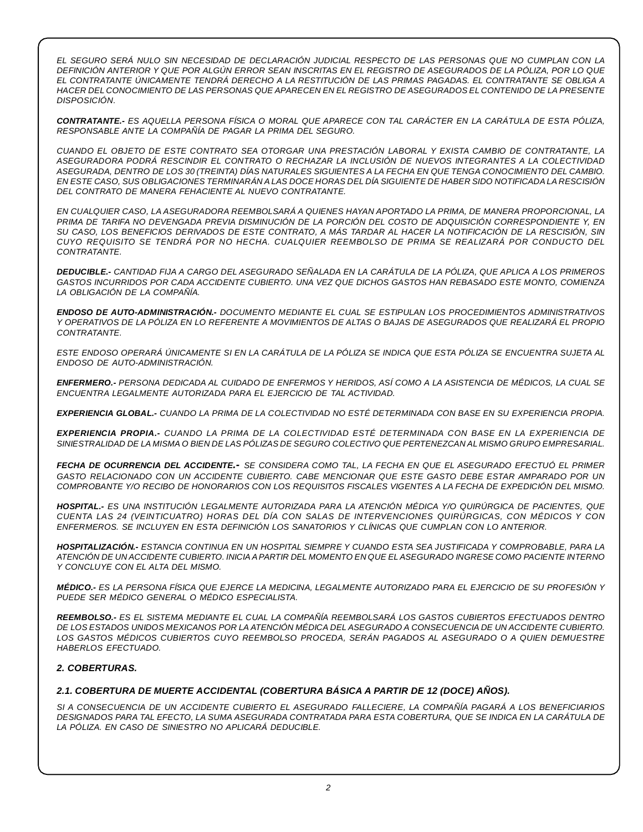EL SEGURO SERÁ NULO SIN NECESIDAD DE DECLARACIÓN JUDICIAL RESPECTO DE LAS PERSONAS QUE NO CUMPLAN CON LA DEFINICIÓN ANTERIOR Y QUE POR ALGÚN ERROR SEAN INSCRITAS EN EL REGISTRO DE ASEGURADOS DE LA PÓLIZA. POR LO QUE *EL CONTRATANTE ÚNICAMENTE TENDRÁ DERECHO A LA RESTITUCIÓN DE LAS PRIMAS PAGADAS. EL CONTRATANTE SE OBLIGA A* HACER DEL CONOCIMIENTO DE LAS PERSONAS QUE APARECEN EN EL REGISTRO DE ASEGURADOS EL CONTENIDO DE LA PRESENTE *DISPOSICIÓN.*

CONTRATANTE.- ES AQUELLA PERSONA FÍSICA O MORAL QUE APARECE CON TAL CARÁCTER EN LA CARÁTULA DE ESTA PÓLIZA, *RESPONSABLE ANTE LA COMPAÑÍA DE PAGAR LA PRIMA DEL SEGURO.*

*CUANDO EL OBJETO DE ESTE CONTRATO SEA OTORGAR UNA PRESTACIÓN LABORAL Y EXISTA CAMBIO DE CONTRATANTE, LA ASEGURADORA PODRÁ RESCINDIR EL CONTRATO O RECHAZAR LA INCLUSIÓN DE NUEVOS INTEGRANTES A LA COLECTIVIDAD* ASEGURADA, DENTRO DE LOS 30 (TREINTA) DÍAS NATURALES SIGUIENTES A LA FECHA EN QUE TENGA CONOCIMIENTO DEL CAMBIO. EN ESTE CASO. SUS OBLIGACIONES TERMINARÁN A LAS DOCE HORAS DEL DÍA SIGUIENTE DE HABER SIDO NOTIFICADA LA RESCISIÓN *DEL CONTRATO DE MANERA FEHACIENTE AL NUEVO CONTRATANTE.*

*EN CUALQUIER CASO, LA ASEGURADORA REEMBOLSARÁ A QUIENES HAYAN APORTADO LA PRIMA, DE MANERA PROPORCIONAL, LA* PRIMA DE TARIFA NO DEVENGADA PREVIA DISMINUCIÓN DE LA PORCIÓN DEL COSTO DE ADQUISICIÓN CORRESPONDIENTE Y, EN SU CASO, LOS BENEFICIOS DERIVADOS DE ESTE CONTRATO, A MÁS TARDAR AL HACER LA NOTIFICACIÓN DE LA RESCISIÓN, SIN *CUYO REQUISITO SE TENDRÁ POR NO HECHA. CUALQUIER REEMBOLSO DE PRIMA SE REALIZARÁ POR CONDUCTO DEL CONTRATANTE.*

DEDUCIBLE.- CANTIDAD FIJA A CARGO DEL ASEGURADO SEÑALADA EN LA CARÁTULA DE LA PÓLIZA, QUE APLICA A LOS PRIMEROS *GASTOS INCURRIDOS POR CADA ACCIDENTE CUBIERTO. UNA VEZ QUE DICHOS GASTOS HAN REBASADO ESTE MONTO, COMIENZA LA OBLIGACIÓN DE LA COMPAÑÍA.*

*ENDOSO DE AUTO-ADMINISTRACIÓN.- DOCUMENTO MEDIANTE EL CUAL SE ESTIPULAN LOS PROCEDIMIENTOS ADMINISTRATIVOS* Y OPERATIVOS DE LA PÓLIZA EN LO REFERENTE A MOVIMIENTOS DE ALTAS O BAJAS DE ASEGURADOS QUE REALIZARÁ EL PROPIO *CONTRATANTE.*

ESTE ENDOSO OPERARÁ ÚNICAMENTE SI EN LA CARÁTULA DE LA PÓLIZA SE INDICA QUE ESTA PÓLIZA SE ENCUENTRA SUJETA AL *ENDOSO DE AUTO-ADMINISTRACIÓN.*

ENFERMERO.- PERSONA DEDICADA AL CUIDADO DE ENFERMOS Y HERIDOS, ASÍ COMO A LA ASISTENCIA DE MÉDICOS, LA CUAL SE *ENCUENTRA LEGALMENTE AUTORIZADA PARA EL EJERCICIO DE TAL ACTIVIDAD.*

EXPERIENCIA GLOBAL.- CUANDO LA PRIMA DE LA COLECTIVIDAD NO ESTÉ DETERMINADA CON BASE EN SU EXPERIENCIA PROPIA.

*EXPERIENCIA PROPIA.- CUANDO LA PRIMA DE LA COLECTIVIDAD ESTÉ DETERMINADA CON BASE EN LA EXPERIENCIA DE* SINIESTRALIDAD DE LA MISMA O BIEN DE LAS PÓLIZAS DE SEGURO COLECTIVO QUE PERTENEZCAN AL MISMO GRUPO EMPRESARIAL.

FECHA DE OCURRENCIA DEL ACCIDENTE.- SE CONSIDERA COMO TAL, LA FECHA EN QUE EL ASEGURADO EFECTUÓ EL PRIMER *GASTO RELACIONADO CON UN ACCIDENTE CUBIERTO. CABE MENCIONAR QUE ESTE GASTO DEBE ESTAR AMPARADO POR UN* COMPROBANTE Y/O RECIBO DE HONORARIOS CON LOS REQUISITOS FISCALES VIGENTES A LA FECHA DE EXPEDICIÓN DEL MISMO.

*HOSPITAL.- ES UNA INSTITUCIÓN LEGALMENTE AUTORIZADA PARA LA ATENCIÓN MÉDICA Y/O QUIRÚRGICA DE PACIENTES, QUE CUENTA LAS 24 (VEINTICUATRO) HORAS DEL DÍA CON SALAS DE INTERVENCIONES QUIRÚRGICAS, CON MÉDICOS Y CON ENFERMEROS. SE INCLUYEN EN ESTA DEFINICIÓN LOS SANATORIOS Y CLÍNICAS QUE CUMPLAN CON LO ANTERIOR.*

*HOSPITALIZACIÓN.- ESTANCIA CONTINUA EN UN HOSPITAL SIEMPRE Y CUANDO ESTA SEA JUSTIFICADA Y COMPROBABLE, PARA LA* ATENCIÓN DE UN ACCIDENTE CUBIERTO. INICIA A PARTIR DEL MOMENTO EN QUE EL ASEGURADO INGRESE COMO PACIENTE INTERNO *Y CONCLUYE CON EL ALTA DEL MISMO.*

MÉDICO.- ES LA PERSONA FÍSICA QUE EJERCE LA MEDICINA, LEGALMENTE AUTORIZADO PARA EL EJERCICIO DE SU PROFESIÓN Y *PUEDE SER MÉDICO GENERAL O MÉDICO ESPECIALISTA.*

*REEMBOLSO.- ES EL SISTEMA MEDIANTE EL CUAL LA COMPAÑÍA REEMBOLSARÁ LOS GASTOS CUBIERTOS EFECTUADOS DENTRO* DE LOS ESTADOS UNIDOS MEXICANOS POR LA ATENCIÓN MÉDICA DEL ASEGURADO A CONSECUENCIA DE UN ACCIDENTE CUBIERTO. *LOS GASTOS MÉDICOS CUBIERTOS CUYO REEMBOLSO PROCEDA, SERÁN PAGADOS AL ASEGURADO O A QUIEN DEMUESTRE HABERLOS EFECTUADO.*

# *2. COBERTURAS.*

# *2.1. COBERTURA DE MUERTE ACCIDENTAL (COBERTURA BÁSICA A PARTIR DE 12 (DOCE) AÑOS).*

*SI A CONSECUENCIA DE UN ACCIDENTE CUBIERTO EL ASEGURADO FALLECIERE, LA COMPAÑÍA PAGARÁ A LOS BENEFICIARIOS DESIGNADOS PARA TAL EFECTO, LA SUMA ASEGURADA CONTRATADA PARA ESTA COBERTURA, QUE SE INDICA EN LA CARÁTULA DE LA PÓLIZA. EN CASO DE SINIESTRO NO APLICARÁ DEDUCIBLE.*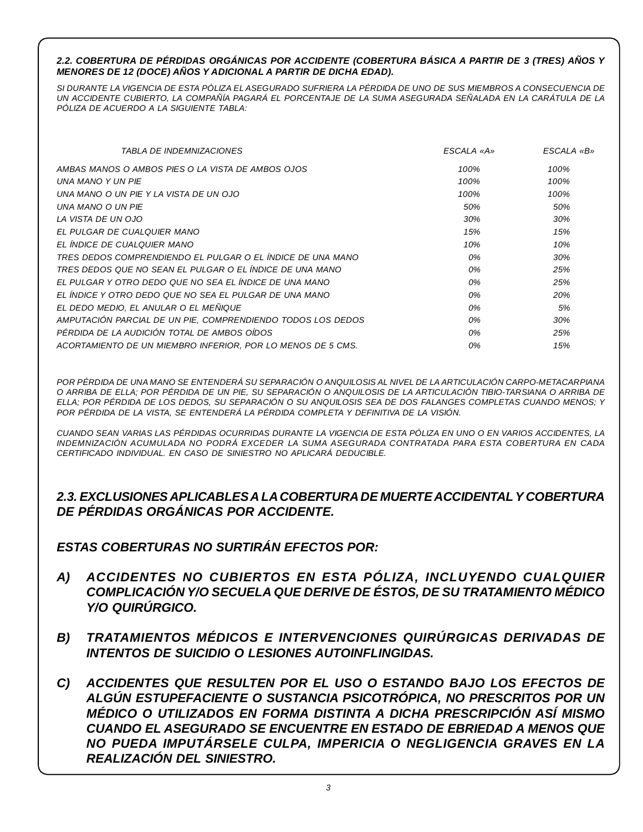# *2.2. COBERTURA DE PÉRDIDAS ORGÁNICAS POR ACCIDENTE (COBERTURA BÁSICA A PARTIR DE 3 (TRES) AÑOS Y MENORES DE 12 (DOCE) AÑOS Y ADICIONAL A PARTIR DE DICHA EDAD).*

SI DURANTE LA VIGENCIA DE ESTA PÓLIZA EL ASEGURADO SUFRIERA LA PÉRDIDA DE UNO DE SUS MIEMBROS A CONSECUENCIA DE UN ACCIDENTE CUBIERTO, LA COMPAÑÍA PAGARÁ EL PORCENTAJE DE LA SUMA ASEGURADA SEÑALADA EN LA CARÁTULA DE LA *PÓLIZA DE ACUERDO A LA SIGUIENTE TABLA:*

| <i>TABLA DE INDEMNIZACIONES</i>                             | ESCALA «A» | ESCALA «B» |
|-------------------------------------------------------------|------------|------------|
| AMBAS MANOS O AMBOS PIES O LA VISTA DE AMBOS OJOS           | 100%       | 100%       |
| UNA MANO Y UN PIE                                           | 100%       | 100%       |
| UNA MANO O UN PIE Y LA VISTA DE UN OJO                      | 100%       | 100%       |
| UNA MANO O UN PIE                                           | 50%        | 50%        |
| LA VISTA DE UN OJO                                          | 30%        | 30%        |
| EL PULGAR DE CUALQUIER MANO                                 | 15%        | 15%        |
| EL ÍNDICE DE CUALQUIER MANO                                 | 10%        | 10%        |
| TRES DEDOS COMPRENDIENDO EL PULGAR O EL ÍNDICE DE UNA MANO  | 0%         | 30%        |
| TRES DEDOS QUE NO SEAN EL PULGAR O EL ÍNDICE DE UNA MANO    | 0%         | 25%        |
| EL PULGAR Y OTRO DEDO QUE NO SEA EL ÍNDICE DE UNA MANO      | 0%         | 25%        |
| EL ÍNDICE Y OTRO DEDO QUE NO SEA EL PULGAR DE UNA MANO      | 0%         | 20%        |
| EL DEDO MEDIO, EL ANULAR O EL MEÑIQUE                       | 0%         | 5%         |
| AMPUTACIÓN PARCIAL DE UN PIE, COMPRENDIENDO TODOS LOS DEDOS | 0%         | 30%        |
| PÉRDIDA DE LA AUDICIÓN TOTAL DE AMBOS OÍDOS                 | 0%         | 25%        |
| ACORTAMIENTO DE UN MIEMBRO INFERIOR, POR LO MENOS DE 5 CMS. | 0%         | 15%        |

POR PÉRDIDA DE UNA MANO SE ENTENDERÁ SU SEPARACIÓN O ANQUILOSIS AL NIVEL DE LA ARTICULACIÓN CARPO-METACARPIANA O ARRIBA DE ELLA; POR PÉRDIDA DE UN PIE, SU SEPARACIÓN O ANQUILOSIS DE LA ARTICULACIÓN TIBIO-TARSIANA O ARRIBA DE ELLA: POR PÉRDIDA DE LOS DEDOS, SU SEPARACIÓN O SU ANQUILOSIS SEA DE DOS FALANGES COMPLETAS CUANDO MENOS: Y *POR PÉRDIDA DE LA VISTA, SE ENTENDERÁ LA PÉRDIDA COMPLETA Y DEFINITIVA DE LA VISIÓN.*

CUANDO SEAN VARIAS LAS PÉRDIDAS OCURRIDAS DURANTE LA VIGENCIA DE ESTA PÓLIZA EN UNO O EN VARIOS ACCIDENTES, LA *INDEMNIZACIÓN ACUMULADA NO PODRÁ EXCEDER LA SUMA ASEGURADA CONTRATADA PARA ESTA COBERTURA EN CADA CERTIFICADO INDIVIDUAL. EN CASO DE SINIESTRO NO APLICARÁ DEDUCIBLE.*

# *2.3. EXCLUSIONES APLICABLESA LACOBERTURADE MUERTEACCIDENTALY COBERTURA DE PÉRDIDAS ORGÁNICAS POR ACCIDENTE.*

*ESTAS COBERTURAS NO SURTIRÁN EFECTOS POR:*

- *A) ACCIDENTES NO CUBIERTOS EN ESTA PÓLIZA, INCLUYENDO CUALQUIER COMPLICACIÓN Y/O SECUELA QUE DERIVE DE ÉSTOS, DE SU TRATAMIENTO MÉDICO Y/O QUIRÚRGICO.*
- *B) TRATAMIENTOS MÉDICOS E INTERVENCIONES QUIRÚRGICAS DERIVADAS DE INTENTOS DE SUICIDIO O LESIONES AUTOINFLINGIDAS.*
- *C) ACCIDENTES QUE RESULTEN POR EL USO O ESTANDO BAJO LOS EFECTOS DE ALGÚN ESTUPEFACIENTE O SUSTANCIA PSICOTRÓPICA, NO PRESCRITOS POR UN MÉDICO O UTILIZADOS EN FORMA DISTINTA A DICHA PRESCRIPCIÓN ASÍ MISMO CUANDO EL ASEGURADO SE ENCUENTRE EN ESTADO DE EBRIEDAD A MENOS QUE NO PUEDA IMPUTÁRSELE CULPA, IMPERICIA O NEGLIGENCIA GRAVES EN LA REALIZACIÓN DEL SINIESTRO.*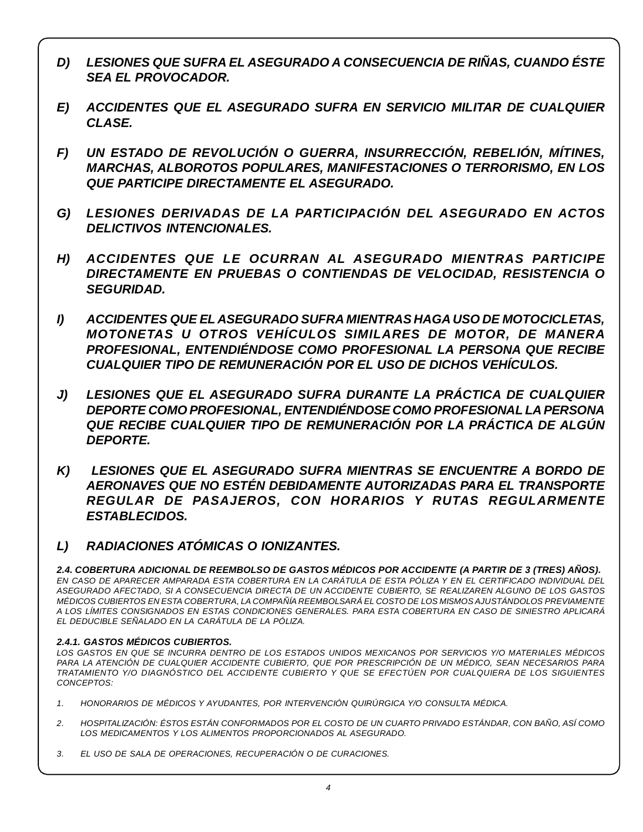- *D) LESIONES QUE SUFRA EL ASEGURADO A CONSECUENCIA DE RIÑAS, CUANDO ÉSTE SEA EL PROVOCADOR.*
- *E) ACCIDENTES QUE EL ASEGURADO SUFRA EN SERVICIO MILITAR DE CUALQUIER CLASE.*
- *F) UN ESTADO DE REVOLUCIÓN O GUERRA, INSURRECCIÓN, REBELIÓN, MÍTINES, MARCHAS, ALBOROTOS POPULARES, MANIFESTACIONES O TERRORISMO, EN LOS QUE PARTICIPE DIRECTAMENTE EL ASEGURADO.*
- *G) LESIONES DERIVADAS DE LA PARTICIPACIÓN DEL ASEGURADO EN ACTOS DELICTIVOS INTENCIONALES.*
- *H) ACCIDENTES QUE LE OCURRAN AL ASEGURADO MIENTRAS PARTICIPE DIRECTAMENTE EN PRUEBAS O CONTIENDAS DE VELOCIDAD, RESISTENCIA O SEGURIDAD.*
- *I) ACCIDENTES QUE EL ASEGURADO SUFRA MIENTRAS HAGA USO DE MOTOCICLETAS, MOTONETAS U OTROS VEHÍCULOS SIMILARES DE MOTOR, DE MANERA PROFESIONAL, ENTENDIÉNDOSE COMO PROFESIONAL LA PERSONA QUE RECIBE CUALQUIER TIPO DE REMUNERACIÓN POR EL USO DE DICHOS VEHÍCULOS.*
- *J) LESIONES QUE EL ASEGURADO SUFRA DURANTE LA PRÁCTICA DE CUALQUIER DEPORTE COMO PROFESIONAL, ENTENDIÉNDOSE COMO PROFESIONAL LA PERSONA QUE RECIBE CUALQUIER TIPO DE REMUNERACIÓN POR LA PRÁCTICA DE ALGÚN DEPORTE.*
- *K) LESIONES QUE EL ASEGURADO SUFRA MIENTRAS SE ENCUENTRE A BORDO DE AERONAVES QUE NO ESTÉN DEBIDAMENTE AUTORIZADAS PARA EL TRANSPORTE REGULAR DE PASAJEROS, CON HORARIOS Y RUTAS REGULARMENTE ESTABLECIDOS.*
- *L) RADIACIONES ATÓMICAS O IONIZANTES.*

*2.4. COBERTURA ADICIONAL DE REEMBOLSO DE GASTOS MÉDICOS POR ACCIDENTE (A PARTIR DE 3 (TRES) AÑOS).* EN CASO DE APARECER AMPARADA ESTA COBERTURA EN LA CARÁTULA DE ESTA PÓLIZA Y EN EL CERTIFICADO INDIVIDUAL DEL *ASEGURADO AFECTADO, SI A CONSECUENCIA DIRECTA DE UN ACCIDENTE CUBIERTO, SE REALIZAREN ALGUNO DE LOS GASTOS MÉDICOS CUBIERTOS EN ESTA COBERTURA, LA COMPAÑÍA REEMBOLSARÁ EL COSTO DE LOS MISMOS AJUSTÁNDOLOS PREVIAMENTE A LOS LÍMITES CONSIGNADOS EN ESTAS CONDICIONES GENERALES. PARA ESTA COBERTURA EN CASO DE SINIESTRO APLICARÁ EL DEDUCIBLE SEÑALADO EN LA CARÁTULA DE LA PÓLIZA.*

# *2.4.1. GASTOS MÉDICOS CUBIERTOS.*

*LOS GASTOS EN QUE SE INCURRA DENTRO DE LOS ESTADOS UNIDOS MEXICANOS POR SERVICIOS Y/O MATERIALES MÉDICOS PARA LA ATENCIÓN DE CUALQUIER ACCIDENTE CUBIERTO, QUE POR PRESCRIPCIÓN DE UN MÉDICO, SEAN NECESARIOS PARA TRATAMIENTO Y/O DIAGNÓSTICO DEL ACCIDENTE CUBIERTO Y QUE SE EFECTÚEN POR CUALQUIERA DE LOS SIGUIENTES CONCEPTOS:*

- *1. HONORARIOS DE MÉDICOS Y AYUDANTES, POR INTERVENCIÓN QUIRÚRGICA Y/O CONSULTA MÉDICA.*
- *2. HOSPITALIZACIÓN: ÉSTOS ESTÁN CONFORMADOS POR EL COSTO DE UN CUARTO PRIVADO ESTÁNDAR, CON BAÑO, ASÍ COMO LOS MEDICAMENTOS Y LOS ALIMENTOS PROPORCIONADOS AL ASEGURADO.*
- *3. EL USO DE SALA DE OPERACIONES, RECUPERACIÓN O DE CURACIONES.*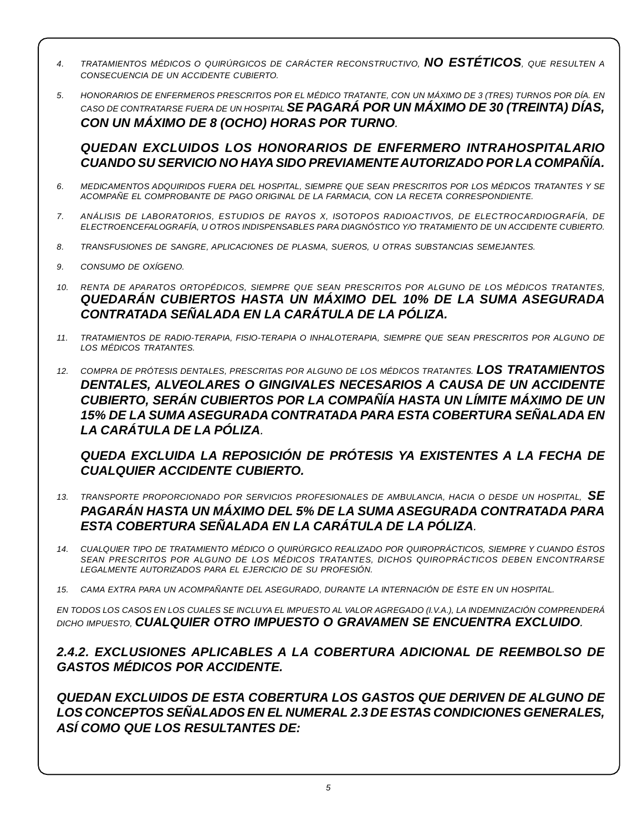- *4. TRATAMIENTOS MÉDICOS <sup>O</sup> QUIRÚRGICOS DE CARÁCTER RECONSTRUCTIVO, NO ESTÉTICOS, QUE RESULTEN A CONSECUENCIA DE UN ACCIDENTE CUBIERTO.*
- 5. HONORARIOS DE ENFERMEROS PRESCRITOS POR EL MÉDICO TRATANTE, CON UN MÁXIMO DE 3 (TRES) TURNOS POR DÍA. EN *CASO DE CONTRATARSE FUERA DE UN HOSPITAL SE PAGARÁ POR UN MÁXIMO DE 30 (TREINTA) DÍAS, CON UN MÁXIMO DE 8 (OCHO) HORAS POR TURNO.*

*QUEDAN EXCLUIDOS LOS HONORARIOS DE ENFERMERO INTRAHOSPITALARIO CUANDO SU SERVICIO NO HAYA SIDO PREVIAMENTEAUTORIZADO POR LA COMPAÑÍA.*

- *6. MEDICAMENTOS ADQUIRIDOS FUERA DEL HOSPITAL, SIEMPRE QUE SEAN PRESCRITOS POR LOS MÉDICOS TRATANTES Y SE ACOMPAÑE EL COMPROBANTE DE PAGO ORIGINAL DE LA FARMACIA, CON LA RECETA CORRESPONDIENTE.*
- *7. ANÁLISIS DE LABORATORIOS, ESTUDIOS DE RAYOS X, ISOTOPOS RADIOACTIVOS, DE ELECTROCARDIOGRAFÍA, DE ELECTROENCEFALOGRAFÍA, U OTROS INDISPENSABLES PARA DIAGNÓSTICO Y/O TRATAMIENTO DE UN ACCIDENTE CUBIERTO.*
- *8. TRANSFUSIONES DE SANGRE, APLICACIONES DE PLASMA, SUEROS, U OTRAS SUBSTANCIAS SEMEJANTES.*
- *9. CONSUMO DE OXÍGENO.*
- *10. RENTA DE APARATOS ORTOPÉDICOS, SIEMPRE QUE SEAN PRESCRITOS POR ALGUNO DE LOS MÉDICOS TRATANTES, QUEDARÁN CUBIERTOS HASTA UN MÁXIMO DEL 10% DE LA SUMA ASEGURADA CONTRATADA SEÑALADA EN LA CARÁTULA DE LA PÓLIZA.*
- *11. TRATAMIENTOS DE RADIO-TERAPIA, FISIO-TERAPIA O INHALOTERAPIA, SIEMPRE QUE SEAN PRESCRITOS POR ALGUNO DE LOS MÉDICOS TRATANTES.*
- *12. COMPRA DE PRÓTESIS DENTALES, PRESCRITAS POR ALGUNO DE LOS MÉDICOS TRATANTES. LOS TRATAMIENTOS DENTALES, ALVEOLARES O GINGIVALES NECESARIOS A CAUSA DE UN ACCIDENTE CUBIERTO, SERÁN CUBIERTOS POR LA COMPAÑÍA HASTA UN LÍMITE MÁXIMO DE UN 15% DE LA SUMA ASEGURADA CONTRATADA PARA ESTA COBERTURA SEÑALADA EN LA CARÁTULA DE LA PÓLIZA.*

*QUEDA EXCLUIDA LA REPOSICIÓN DE PRÓTESIS YA EXISTENTES A LA FECHA DE CUALQUIER ACCIDENTE CUBIERTO.*

- *13. TRANSPORTE PROPORCIONADO POR SERVICIOS PROFESIONALES DE AMBULANCIA, HACIA <sup>O</sup> DESDE UN HOSPITAL, SE PAGARÁN HASTA UN MÁXIMO DEL 5% DE LA SUMA ASEGURADA CONTRATADA PARA ESTA COBERTURA SEÑALADA EN LA CARÁTULA DE LA PÓLIZA.*
- *14. CUALQUIER TIPO DE TRATAMIENTO MÉDICO O QUIRÚRGICO REALIZADO POR QUIROPRÁCTICOS, SIEMPRE Y CUANDO ÉSTOS SEAN PRESCRITOS POR ALGUNO DE LOS MÉDICOS TRATANTES, DICHOS QUIROPRÁCTICOS DEBEN ENCONTRARSE LEGALMENTE AUTORIZADOS PARA EL EJERCICIO DE SU PROFESIÓN.*
- *15. CAMA EXTRA PARA UN ACOMPAÑANTE DEL ASEGURADO, DURANTE LA INTERNACIÓN DE ÉSTE EN UN HOSPITAL.*

EN TODOS LOS CASOS EN LOS CUALES SE INCLUYA EL IMPUESTO AL VALOR AGREGADO (I.V.A.), LA INDEMNIZACIÓN COMPRENDERÁ *DICHO IMPUESTO, CUALQUIER OTRO IMPUESTO O GRAVAMEN SE ENCUENTRA EXCLUIDO.*

# *2.4.2. EXCLUSIONES APLICABLES A LA COBERTURA ADICIONAL DE REEMBOLSO DE GASTOS MÉDICOS POR ACCIDENTE.*

*QUEDAN EXCLUIDOS DE ESTA COBERTURA LOS GASTOS QUE DERIVEN DE ALGUNO DE LOS CONCEPTOS SEÑALADOS EN EL NUMERAL 2.3 DE ESTAS CONDICIONES GENERALES, ASÍ COMO QUE LOS RESULTANTES DE:*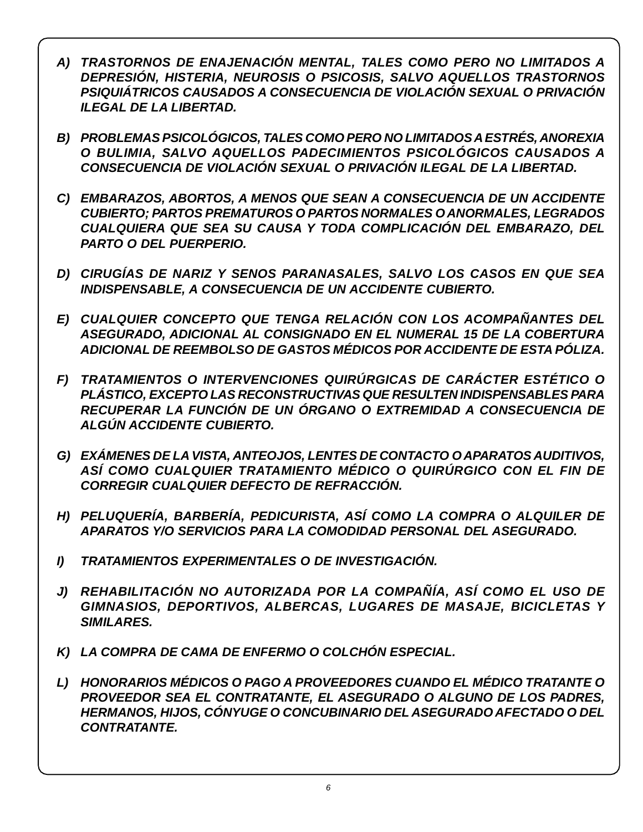- *A) TRASTORNOS DE ENAJENACIÓN MENTAL, TALES COMO PERO NO LIMITADOS A DEPRESIÓN, HISTERIA, NEUROSIS O PSICOSIS, SALVO AQUELLOS TRASTORNOS PSIQUIÁTRICOS CAUSADOS A CONSECUENCIA DE VIOLACIÓN SEXUAL O PRIVACIÓN ILEGAL DE LA LIBERTAD.*
- *B) PROBLEMAS PSICOLÓGICOS, TALES COMO PERO NO LIMITADOSAESTRÉS, ANOREXIA O BULIMIA, SALVO AQUELLOS PADECIMIENTOS PSICOLÓGICOS CAUSADOS A CONSECUENCIA DE VIOLACIÓN SEXUAL O PRIVACIÓN ILEGAL DE LA LIBERTAD.*
- *C) EMBARAZOS, ABORTOS, A MENOS QUE SEAN A CONSECUENCIA DE UN ACCIDENTE CUBIERTO; PARTOS PREMATUROS O PARTOS NORMALES OANORMALES, LEGRADOS CUALQUIERA QUE SEA SU CAUSA Y TODA COMPLICACIÓN DEL EMBARAZO, DEL PARTO O DEL PUERPERIO.*
- *D) CIRUGÍAS DE NARIZ Y SENOS PARANASALES, SALVO LOS CASOS EN QUE SEA INDISPENSABLE, A CONSECUENCIA DE UN ACCIDENTE CUBIERTO.*
- *E) CUALQUIER CONCEPTO QUE TENGA RELACIÓN CON LOS ACOMPAÑANTES DEL ASEGURADO, ADICIONAL AL CONSIGNADO EN EL NUMERAL 15 DE LA COBERTURA ADICIONAL DE REEMBOLSO DE GASTOS MÉDICOS POR ACCIDENTE DE ESTA PÓLIZA.*
- *F) TRATAMIENTOS O INTERVENCIONES QUIRÚRGICAS DE CARÁCTER ESTÉTICO O PLÁSTICO, EXCEPTO LAS RECONSTRUCTIVAS QUE RESULTEN INDISPENSABLES PARA RECUPERAR LA FUNCIÓN DE UN ÓRGANO O EXTREMIDAD A CONSECUENCIA DE ALGÚN ACCIDENTE CUBIERTO.*
- *G) EXÁMENES DE LA VISTA, ANTEOJOS, LENTES DE CONTACTO OAPARATOS AUDITIVOS, ASÍ COMO CUALQUIER TRATAMIENTO MÉDICO O QUIRÚRGICO CON EL FIN DE CORREGIR CUALQUIER DEFECTO DE REFRACCIÓN.*
- *H) PELUQUERÍA, BARBERÍA, PEDICURISTA, ASÍ COMO LA COMPRA O ALQUILER DE APARATOS Y/O SERVICIOS PARA LA COMODIDAD PERSONAL DEL ASEGURADO.*
- *I) TRATAMIENTOS EXPERIMENTALES O DE INVESTIGACIÓN.*
- *J) REHABILITACIÓN NO AUTORIZADA POR LA COMPAÑÍA, ASÍ COMO EL USO DE GIMNASIOS, DEPORTIVOS, ALBERCAS, LUGARES DE MASAJE, BICICLETAS Y SIMILARES.*
- *K) LA COMPRA DE CAMA DE ENFERMO O COLCHÓN ESPECIAL.*
- *L) HONORARIOS MÉDICOS O PAGO A PROVEEDORES CUANDO EL MÉDICO TRATANTE O PROVEEDOR SEA EL CONTRATANTE, EL ASEGURADO O ALGUNO DE LOS PADRES, HERMANOS, HIJOS, CÓNYUGE O CONCUBINARIO DEL ASEGURADO AFECTADO O DEL CONTRATANTE.*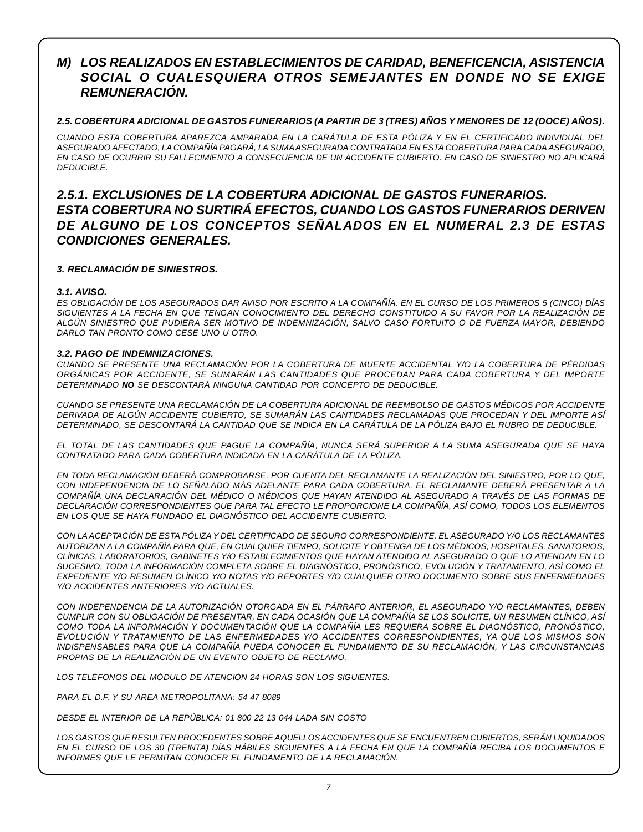# *M) LOS REALIZADOS EN ESTABLECIMIENTOS DE CARIDAD, BENEFICENCIA, ASISTENCIA SOCIAL O CUALESQUIERA OTROS SEMEJANTES EN DONDE NO SE EXIGE REMUNERACIÓN.*

# 2.5. COBERTURA ADICIONAL DE GASTOS FUNERARIOS (A PARTIR DE 3 (TRES) AÑOS Y MENORES DE 12 (DOCE) AÑOS).

*CUANDO ESTA COBERTURA APAREZCA AMPARADA EN LA CARÁTULA DE ESTA PÓLIZA Y EN EL CERTIFICADO INDIVIDUAL DEL ASEGURADO AFECTADO, LA COMPAÑÍA PAGARÁ, LA SUMAASEGURADA CONTRATADA EN ESTA COBERTURA PARA CADA ASEGURADO,* EN CASO DE OCURRIR SU FALLECIMIENTO A CONSECUENCIA DE UN ACCIDENTE CUBIERTO. EN CASO DE SINIESTRO NO APLICARÁ *DEDUCIBLE.*

# *2.5.1. EXCLUSIONES DE LA COBERTURA ADICIONAL DE GASTOS FUNERARIOS. ESTA COBERTURA NO SURTIRÁ EFECTOS, CUANDO LOS GASTOS FUNERARIOS DERIVEN DE ALGUNO DE LOS CONCEPTOS SEÑALADOS EN EL NUMERAL 2.3 DE ESTAS CONDICIONES GENERALES.*

# *3. RECLAMACIÓN DE SINIESTROS.*

# *3.1. AVISO.*

ES OBLIGACIÓN DE LOS ASEGURADOS DAR AVISO POR ESCRITO A LA COMPAÑÍA. EN EL CURSO DE LOS PRIMEROS 5 (CINCO) DÍAS SIGUIENTES A LA FECHA EN QUE TENGAN CONOCIMIENTO DEL DERECHO CONSTITUIDO A SU FAVOR POR LA REALIZACIÓN DE *ALGÚN SINIESTRO QUE PUDIERA SER MOTIVO DE INDEMNIZACIÓN, SALVO CASO FORTUITO O DE FUERZA MAYOR, DEBIENDO DARLO TAN PRONTO COMO CESE UNO U OTRO.*

## *3.2. PAGO DE INDEMNIZACIONES.*

*CUANDO SE PRESENTE UNA RECLAMACIÓN POR LA COBERTURA DE MUERTE ACCIDENTAL Y/O LA COBERTURA DE PÉRDIDAS ORGÁNICAS POR ACCIDENTE, SE SUMARÁN LAS CANTIDADES QUE PROCEDAN PARA CADA COBERTURA Y DEL IMPORTE DETERMINADO NO SE DESCONTARÁ NINGUNA CANTIDAD POR CONCEPTO DE DEDUCIBLE.*

*CUANDO SE PRESENTE UNA RECLAMACIÓN DE LA COBERTURA ADICIONAL DE REEMBOLSO DE GASTOS MÉDICOS POR ACCIDENTE DERIVADA DE ALGÚN ACCIDENTE CUBIERTO, SE SUMARÁN LAS CANTIDADES RECLAMADAS QUE PROCEDAN Y DEL IMPORTE ASÍ* DETERMINADO. SE DESCONTARÁ LA CANTIDAD QUE SE INDICA EN LA CARÁTULA DE LA PÓLIZA BAJO EL RUBRO DE DEDUCIBLE.

EL TOTAL DE LAS CANTIDADES QUE PAGUE LA COMPAÑÍA, NUNCA SERÁ SUPERIOR A LA SUMA ASEGURADA QUE SE HAYA *CONTRATADO PARA CADA COBERTURA INDICADA EN LA CARÁTULA DE LA PÓLIZA.*

*EN TODA RECLAMACIÓN DEBERÁ COMPROBARSE, POR CUENTA DEL RECLAMANTE LA REALIZACIÓN DEL SINIESTRO, POR LO QUE, CON INDEPENDENCIA DE LO SEÑALADO MÁS ADELANTE PARA CADA COBERTURA, EL RECLAMANTE DEBERÁ PRESENTAR A LA* COMPAÑÍA UNA DECLARACIÓN DEL MÉDICO O MÉDICOS QUE HAYAN ATENDIDO AL ASEGURADO A TRAVÉS DE LAS FORMAS DE *DECLARACIÓN CORRESPONDIENTES QUE PARA TAL EFECTO LE PROPORCIONE LA COMPAÑÍA, ASÍ COMO, TODOS LOS ELEMENTOS EN LOS QUE SE HAYA FUNDADO EL DIAGNÓSTICO DEL ACCIDENTE CUBIERTO.*

*CON LAACEPTACIÓN DE ESTA PÓLIZA Y DEL CERTIFICADO DE SEGURO CORRESPONDIENTE, EL ASEGURADO Y/O LOS RECLAMANTES AUTORIZAN A LA COMPAÑÍA PARA QUE, EN CUALQUIER TIEMPO, SOLICITE Y OBTENGA DE LOS MÉDICOS, HOSPITALES, SANATORIOS, CLÍNICAS, LABORATORIOS, GABINETES Y/O ESTABLECIMIENTOS QUE HAYAN ATENDIDO AL ASEGURADO O QUE LO ATIENDAN EN LO SUCESIVO, TODA LA INFORMACIÓN COMPLETA SOBRE EL DIAGNÓSTICO, PRONÓSTICO, EVOLUCIÓN Y TRATAMIENTO, ASÍ COMO EL EXPEDIENTE Y/O RESUMEN CLÍNICO Y/O NOTAS Y/O REPORTES Y/O CUALQUIER OTRO DOCUMENTO SOBRE SUS ENFERMEDADES Y/O ACCIDENTES ANTERIORES Y/O ACTUALES.*

*CON INDEPENDENCIA DE LA AUTORIZACIÓN OTORGADA EN EL PÁRRAFO ANTERIOR, EL ASEGURADO Y/O RECLAMANTES, DEBEN* CUMPLIR CON SU OBLIGACIÓN DE PRESENTAR. EN CADA OCASIÓN QUE LA COMPAÑÍA SE LOS SOLICITE, UN RESUMEN CLÍNICO, ASÍ *COMO TODA LA INFORMACIÓN Y DOCUMENTACIÓN QUE LA COMPAÑÍA LES REQUIERA SOBRE EL DIAGNÓSTICO, PRONÓSTICO, EVOLUCIÓN Y TRATAMIENTO DE LAS ENFERMEDADES Y/O ACCIDENTES CORRESPONDIENTES, YA QUE LOS MISMOS SON INDISPENSABLES PARA QUE LA COMPAÑÍA PUEDA CONOCER EL FUNDAMENTO DE SU RECLAMACIÓN, Y LAS CIRCUNSTANCIAS PROPIAS DE LA REALIZACIÓN DE UN EVENTO OBJETO DE RECLAMO.*

*LOS TELÉFONOS DEL MÓDULO DE ATENCIÓN 24 HORAS SON LOS SIGUIENTES:*

*PARA EL D.F. Y SU ÁREA METROPOLITANA: 54 47 8089*

*DESDE EL INTERIOR DE LA REPÚBLICA: 01 800 22 13 044 LADA SIN COSTO*

*LOS GASTOS QUE RESULTEN PROCEDENTES SOBRE AQUELLOSACCIDENTES QUE SE ENCUENTREN CUBIERTOS, SERÁN LIQUIDADOS* EN EL CURSO DE LOS 30 (TREINTA) DÍAS HÁBILES SIGUIENTES A LA FECHA EN QUE LA COMPAÑÍA RECIBA LOS DOCUMENTOS E *INFORMES QUE LE PERMITAN CONOCER EL FUNDAMENTO DE LA RECLAMACIÓN.*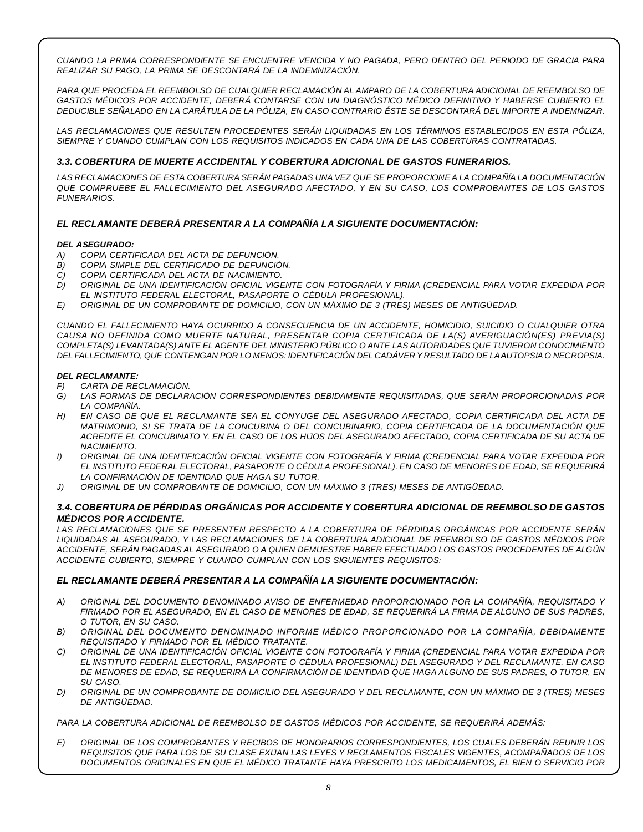*CUANDO LA PRIMA CORRESPONDIENTE SE ENCUENTRE VENCIDA Y NO PAGADA, PERO DENTRO DEL PERIODO DE GRACIA PARA REALIZAR SU PAGO, LA PRIMA SE DESCONTARÁ DE LA INDEMNIZACIÓN.*

PARA QUE PROCEDA EL REEMBOLSO DE CUALQUIER RECLAMACIÓN AL AMPARO DE LA COBERTURA ADICIONAL DE REEMBOLSO DE *GASTOS MÉDICOS POR ACCIDENTE, DEBERÁ CONTARSE CON UN DIAGNÓSTICO MÉDICO DEFINITIVO Y HABERSE CUBIERTO EL* DEDUCIBLE SEÑALADO EN LA CARÁTULA DE LA PÓLIZA, EN CASO CONTRARIO ÉSTE SE DESCONTARÁ DEL IMPORTE A INDEMNIZAR.

*LAS RECLAMACIONES QUE RESULTEN PROCEDENTES SERÁN LIQUIDADAS EN LOS TÉRMINOS ESTABLECIDOS EN ESTA PÓLIZA, SIEMPRE Y CUANDO CUMPLAN CON LOS REQUISITOS INDICADOS EN CADA UNA DE LAS COBERTURAS CONTRATADAS.*

## *3.3. COBERTURA DE MUERTE ACCIDENTAL Y COBERTURA ADICIONAL DE GASTOS FUNERARIOS.*

LAS RECLAMACIONES DE ESTA COBERTURA SERÁN PAGADAS UNA VEZ QUE SE PROPORCIONE A LA COMPAÑÍA LA DOCUMENTACIÓN *QUE COMPRUEBE EL FALLECIMIENTO DEL ASEGURADO AFECTADO, Y EN SU CASO, LOS COMPROBANTES DE LOS GASTOS FUNERARIOS.*

## *EL RECLAMANTE DEBERÁ PRESENTAR A LA COMPAÑÍA LA SIGUIENTE DOCUMENTACIÓN:*

#### *DEL ASEGURADO:*

- *A) COPIA CERTIFICADA DEL ACTA DE DEFUNCIÓN.*
- *B) COPIA SIMPLE DEL CERTIFICADO DE DEFUNCIÓN.*
- *C) COPIA CERTIFICADA DEL ACTA DE NACIMIENTO.*
- *D) ORIGINAL DE UNA IDENTIFICACIÓN OFICIAL VIGENTE CON FOTOGRAFÍA Y FIRMA (CREDENCIAL PARA VOTAR EXPEDIDA POR EL INSTITUTO FEDERAL ELECTORAL, PASAPORTE O CÉDULA PROFESIONAL).*
- *E) ORIGINAL DE UN COMPROBANTE DE DOMICILIO, CON UN MÁXIMO DE 3 (TRES) MESES DE ANTIGÜEDAD.*

*CUANDO EL FALLECIMIENTO HAYA OCURRIDO A CONSECUENCIA DE UN ACCIDENTE, HOMICIDIO, SUICIDIO O CUALQUIER OTRA CAUSA NO DEFINIDA COMO MUERTE NATURAL, PRESENTAR COPIA CERTIFICADA DE LA(S) AVERIGUACIÓN(ES) PREVIA(S) COMPLETA(S) LEVANTADA(S) ANTE EL AGENTE DEL MINISTERIO PÚBLICO O ANTE LAS AUTORIDADES QUE TUVIERON CONOCIMIENTO DEL FALLECIMIENTO, QUE CONTENGAN POR LO MENOS: IDENTIFICACIÓN DEL CADÁVER Y RESULTADO DE LAAUTOPSIA O NECROPSIA.*

#### *DEL RECLAMANTE:*

- *F) CARTA DE RECLAMACIÓN.*
- *G) LAS FORMAS DE DECLARACIÓN CORRESPONDIENTES DEBIDAMENTE REQUISITADAS, QUE SERÁN PROPORCIONADAS POR LA COMPAÑÍA.*
- H) EN CASO DE QUE EL RECLAMANTE SEA EL CÓNYUGE DEL ASEGURADO AFECTADO, COPIA CERTIFICADA DEL ACTA DE *MATRIMONIO, SI SE TRATA DE LA CONCUBINA O DEL CONCUBINARIO, COPIA CERTIFICADA DE LA DOCUMENTACIÓN QUE* ACREDITE EL CONCUBINATO Y, EN EL CASO DE LOS HIJOS DEL ASEGURADO AFECTADO, COPIA CERTIFICADA DE SU ACTA DE *NACIMIENTO.*
- *I) ORIGINAL DE UNA IDENTIFICACIÓN OFICIAL VIGENTE CON FOTOGRAFÍA Y FIRMA (CREDENCIAL PARA VOTAR EXPEDIDA POR EL INSTITUTO FEDERAL ELECTORAL, PASAPORTE O CÉDULA PROFESIONAL). EN CASO DE MENORES DE EDAD, SE REQUERIRÁ LA CONFIRMACIÓN DE IDENTIDAD QUE HAGA SU TUTOR.*
- *J) ORIGINAL DE UN COMPROBANTE DE DOMICILIO, CON UN MÁXIMO 3 (TRES) MESES DE ANTIGÜEDAD.*

#### *3.4. COBERTURA DE PÉRDIDAS ORGÁNICAS POR ACCIDENTE Y COBERTURA ADICIONAL DE REEMBOLSO DE GASTOS MÉDICOS POR ACCIDENTE.*

*LAS RECLAMACIONES QUE SE PRESENTEN RESPECTO A LA COBERTURA DE PÉRDIDAS ORGÁNICAS POR ACCIDENTE SERÁN LIQUIDADAS AL ASEGURADO, Y LAS RECLAMACIONES DE LA COBERTURA ADICIONAL DE REEMBOLSO DE GASTOS MÉDICOS POR ACCIDENTE, SERÁN PAGADAS AL ASEGURADO O A QUIEN DEMUESTRE HABER EFECTUADO LOS GASTOS PROCEDENTES DE ALGÚN ACCIDENTE CUBIERTO, SIEMPRE Y CUANDO CUMPLAN CON LOS SIGUIENTES REQUISITOS:*

#### *EL RECLAMANTE DEBERÁ PRESENTAR A LA COMPAÑÍA LA SIGUIENTE DOCUMENTACIÓN:*

- *A) ORIGINAL DEL DOCUMENTO DENOMINADO AVISO DE ENFERMEDAD PROPORCIONADO POR LA COMPAÑÍA, REQUISITADO Y* FIRMADO POR EL ASEGURADO, EN EL CASO DE MENORES DE EDAD, SE REQUERIRÁ LA FIRMA DE ALGUNO DE SUS PADRES, *O TUTOR, EN SU CASO.*
- *B) ORIGINAL DEL DOCUMENTO DENOMINADO INFORME MÉDICO PROPORCIONADO POR LA COMPAÑÍA, DEBIDAMENTE REQUISITADO Y FIRMADO POR EL MÉDICO TRATANTE.*
- *C) ORIGINAL DE UNA IDENTIFICACIÓN OFICIAL VIGENTE CON FOTOGRAFÍA Y FIRMA (CREDENCIAL PARA VOTAR EXPEDIDA POR EL INSTITUTO FEDERAL ELECTORAL, PASAPORTE O CÉDULA PROFESIONAL) DEL ASEGURADO Y DEL RECLAMANTE. EN CASO* DE MENORES DE EDAD, SE REQUERIRÁ LA CONFIRMACIÓN DE IDENTIDAD QUE HAGA ALGUNO DE SUS PADRES, O TUTOR, EN *SU CASO.*
- D) ORIGINAL DE UN COMPROBANTE DE DOMICILIO DEL ASEGURADO Y DEL RECLAMANTE, CON UN MÁXIMO DE 3 (TRES) MESES *DE ANTIGÜEDAD.*

*PARA LA COBERTURA ADICIONAL DE REEMBOLSO DE GASTOS MÉDICOS POR ACCIDENTE, SE REQUERIRÁ ADEMÁS:*

*E) ORIGINAL DE LOS COMPROBANTES Y RECIBOS DE HONORARIOS CORRESPONDIENTES, LOS CUALES DEBERÁN REUNIR LOS REQUISITOS QUE PARA LOS DE SU CLASE EXIJAN LAS LEYES Y REGLAMENTOS FISCALES VIGENTES, ACOMPAÑADOS DE LOS DOCUMENTOS ORIGINALES EN QUE EL MÉDICO TRATANTE HAYA PRESCRITO LOS MEDICAMENTOS, EL BIEN O SERVICIO POR*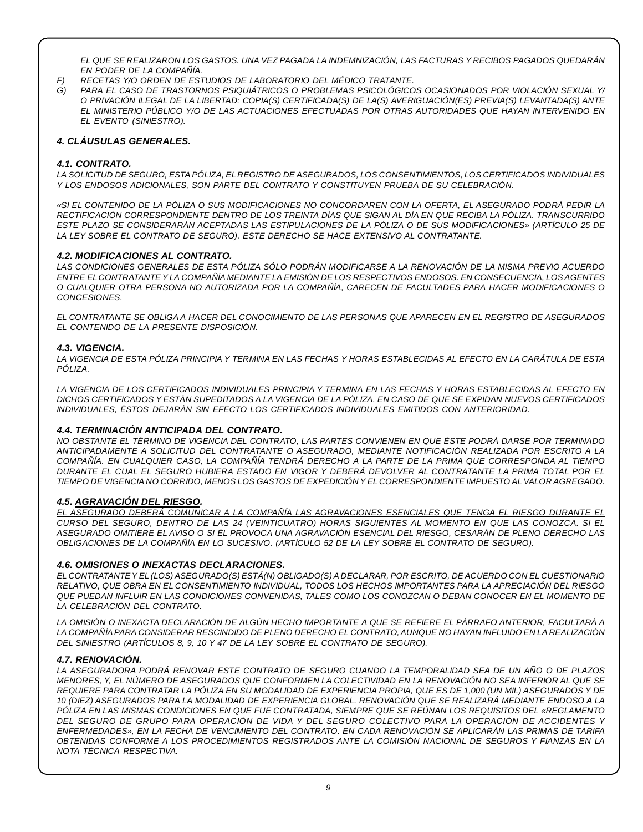*EL QUE SE REALIZARON LOS GASTOS. UNA VEZ PAGADA LA INDEMNIZACIÓN, LAS FACTURAS Y RECIBOS PAGADOS QUEDARÁN EN PODER DE LA COMPAÑÍA.*

- *F) RECETAS Y/O ORDEN DE ESTUDIOS DE LABORATORIO DEL MÉDICO TRATANTE.*
- *G) PARA EL CASO DE TRASTORNOS PSIQUIÁTRICOS O PROBLEMAS PSICOLÓGICOS OCASIONADOS POR VIOLACIÓN SEXUAL Y/ O PRIVACIÓN ILEGAL DE LA LIBERTAD: COPIA(S) CERTIFICADA(S) DE LA(S) AVERIGUACIÓN(ES) PREVIA(S) LEVANTADA(S) ANTE EL MINISTERIO PÚBLICO Y/O DE LAS ACTUACIONES EFECTUADAS POR OTRAS AUTORIDADES QUE HAYAN INTERVENIDO EN EL EVENTO (SINIESTRO).*

## *4. CLÁUSULAS GENERALES.*

### *4.1. CONTRATO.*

*LA SOLICITUD DE SEGURO, ESTA PÓLIZA, ELREGISTRO DE ASEGURADOS, LOS CONSENTIMIENTOS, LOS CERTIFICADOS INDIVIDUALES Y LOS ENDOSOS ADICIONALES, SON PARTE DEL CONTRATO Y CONSTITUYEN PRUEBA DE SU CELEBRACIÓN.*

«SI EL CONTENIDO DE LA PÓLIZA O SUS MODIFICACIONES NO CONCORDAREN CON LA OFERTA, EL ASEGURADO PODRÁ PEDIR LA *RECTIFICACIÓN CORRESPONDIENTE DENTRO DE LOS TREINTA DÍAS QUE SIGAN AL DÍA EN QUE RECIBA LA PÓLIZA. TRANSCURRIDO* ESTE PLAZO SE CONSIDERARÁN ACEPTADAS LAS ESTIPULACIONES DE LA PÓLIZA O DE SUS MODIFICACIONES» (ARTÍCULO 25 DE *LA LEY SOBRE EL CONTRATO DE SEGURO). ESTE DERECHO SE HACE EXTENSIVO AL CONTRATANTE.*

## *4.2. MODIFICACIONES AL CONTRATO.*

LAS CONDICIONES GENERALES DE ESTA PÓLIZA SÓLO PODRÁN MODIFICARSE A LA RENOVACIÓN DE LA MISMA PREVIO ACUERDO *ENTRE ELCONTRATANTE Y LA COMPAÑÍA MEDIANTE LA EMISIÓN DE LOS RESPECTIVOS ENDOSOS. EN CONSECUENCIA, LOS AGENTES O CUALQUIER OTRA PERSONA NO AUTORIZADA POR LA COMPAÑÍA, CARECEN DE FACULTADES PARA HACER MODIFICACIONES O CONCESIONES.*

EL CONTRATANTE SE OBLIGA A HACER DEL CONOCIMIENTO DE LAS PERSONAS QUE APARECEN EN EL REGISTRO DE ASEGURADOS *EL CONTENIDO DE LA PRESENTE DISPOSICIÓN.*

#### *4.3. VIGENCIA.*

LA VIGENCIA DE ESTA PÓLIZA PRINCIPIA Y TERMINA EN LAS FECHAS Y HORAS ESTABLECIDAS AL EFECTO EN LA CARÁTULA DE ESTA *PÓLIZA.*

LA VIGENCIA DE LOS CERTIFICADOS INDIVIDUALES PRINCIPIA Y TERMINA EN LAS FECHAS Y HORAS ESTABLECIDAS AL EFECTO EN DICHOS CERTIFICADOS Y ESTÁN SUPEDITADOS A LA VIGENCIA DE LA PÓLIZA. EN CASO DE QUE SE EXPIDAN NUEVOS CERTIFICADOS *INDIVIDUALES, ÉSTOS DEJARÁN SIN EFECTO LOS CERTIFICADOS INDIVIDUALES EMITIDOS CON ANTERIORIDAD.*

# *4.4. TERMINACIÓN ANTICIPADA DEL CONTRATO.*

NO OBSTANTE EL TÉRMINO DE VIGENCIA DEL CONTRATO, LAS PARTES CONVIENEN EN QUE ÉSTE PODRÁ DARSE POR TERMINADO *ANTICIPADAMENTE A SOLICITUD DEL CONTRATANTE O ASEGURADO, MEDIANTE NOTIFICACIÓN REALIZADA POR ESCRITO A LA* COMPAÑÍA. EN CUALQUIER CASO. LA COMPAÑÍA TENDRÁ DERECHO A LA PARTE DE LA PRIMA QUE CORRESPONDA AL TIEMPO DURANTE EL CUAL EL SEGURO HUBIERA ESTADO EN VIGOR Y DEBERÁ DEVOLVER AL CONTRATANTE LA PRIMA TOTAL POR EL TIEMPO DE VIGENCIA NO CORRIDO, MENOS LOS GASTOS DE EXPEDICIÓN Y EL CORRESPONDIENTE IMPUESTO AL VALOR AGREGADO.

#### *4.5. AGRAVACIÓN DEL RIESGO.*

*EL ASEGURADO DEBERÁ COMUNICAR A LA COMPAÑÍA LAS AGRAVACIONES ESENCIALES QUE TENGA EL RIESGO DURANTE EL* CURSO DEL SEGURO, DENTRO DE LAS 24 (VEINTICUATRO) HORAS SIGUIENTES AL MOMENTO EN QUE LAS CONOZCA. SI EL ASEGURADO OMITIERE EL AVISO O SI ÉL PROVOCA UNA AGRAVACIÓN ESENCIAL DEL RIESGO, CESARÁN DE PLENO DERECHO LAS *OBLIGACIONES DE LA COMPAÑÍA EN LO SUCESIVO. (ARTÍCULO 52 DE LA LEY SOBRE EL CONTRATO DE SEGURO).*

#### *4.6. OMISIONES O INEXACTAS DECLARACIONES.*

EL CONTRATANTE Y EL (LOS) ASEGURADO(S) ESTÁ(N) OBLIGADO(S) A DECLARAR, POR ESCRITO, DE ACUERDO CON EL CUESTIONARIO *RELATIVO, QUE OBRA EN EL CONSENTIMIENTO INDIVIDUAL, TODOS LOS HECHOS IMPORTANTES PARA LA APRECIACIÓN DEL RIESGO* QUE PUEDAN INFLUIR EN LAS CONDICIONES CONVENIDAS, TALES COMO LOS CONOZCAN O DEBAN CONOCER EN EL MOMENTO DE *LA CELEBRACIÓN DEL CONTRATO.*

LA OMISIÓN O INEXACTA DECLARACIÓN DE ALGÚN HECHO IMPORTANTE A QUE SE REFIERE EL PÁRRAFO ANTERIOR, FACULTARÁ A *LA COMPAÑÍAPARA CONSIDERAR RESCINDIDO DE PLENO DERECHO EL CONTRATO,AUNQUE NO HAYAN INFLUIDO EN LA REALIZACIÓN DEL SINIESTRO (ARTÍCULOS 8, 9, 10 Y 47 DE LA LEY SOBRE EL CONTRATO DE SEGURO).*

#### *4.7. RENOVACIÓN.*

LA ASEGURADORA PODRÁ RENOVAR ESTE CONTRATO DE SEGURO CUANDO LA TEMPORALIDAD SEA DE UN AÑO O DE PLAZOS MENORES, Y, EL NÚMERO DE ASEGURADOS QUE CONFORMEN LA COLECTIVIDAD EN LA RENOVACIÓN NO SEA INFERIOR AL QUE SE REQUIERE PARA CONTRATAR LA PÓLIZA EN SU MODALIDAD DE EXPERIENCIA PROPIA, QUE ES DE 1,000 (UN MIL) ASEGURADOS Y DE 10 (DIEZ) ASEGURADOS PARA LA MODALIDAD DE EXPERIENCIA GLOBAL. RENOVACIÓN QUE SE REALIZARÁ MEDIANTE ENDOSO A LA PÓLIZA EN LAS MISMAS CONDICIONES EN QUE FUE CONTRATADA, SIEMPRE QUE SE REÚNAN LOS REQUISITOS DEL «REGLAMENTO *DEL SEGURO DE GRUPO PARA OPERACIÓN DE VIDA Y DEL SEGURO COLECTIVO PARA LA OPERACIÓN DE ACCIDENTES Y* ENFERMEDADES», EN LA FECHA DE VENCIMIENTO DEL CONTRATO. EN CADA RENOVACIÓN SE APLICARÁN LAS PRIMAS DE TARIFA *OBTENIDAS CONFORME A LOS PROCEDIMIENTOS REGISTRADOS ANTE LA COMISIÓN NACIONAL DE SEGUROS Y FIANZAS EN LA NOTA TÉCNICA RESPECTIVA.*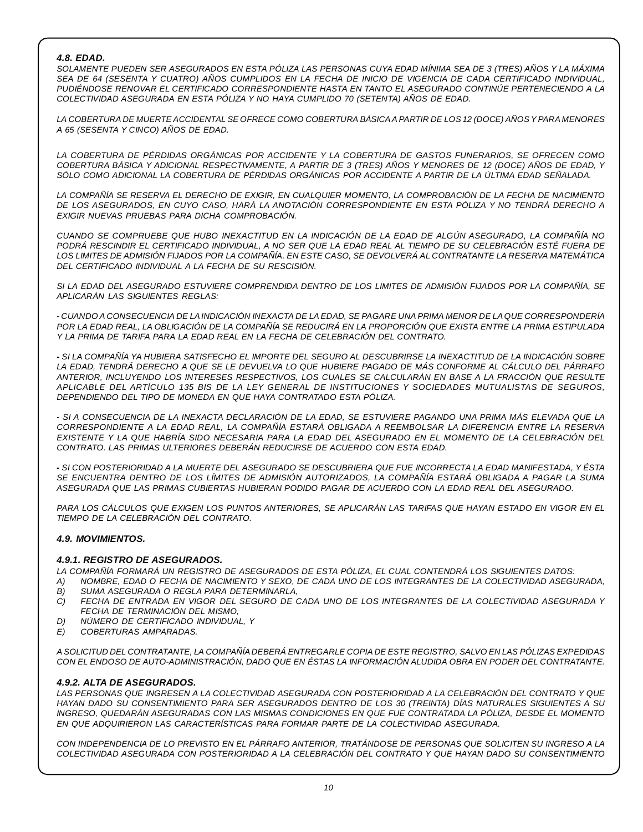## *4.8. EDAD.*

SOLAMENTE PUEDEN SER ASEGURADOS EN ESTA PÓLIZA LAS PERSONAS CUYA EDAD MÍNIMA SEA DE 3 (TRES) AÑOS Y LA MÁXIMA SEA DE 64 (SESENTA Y CUATRO) AÑOS CUMPLIDOS EN LA FECHA DE INICIO DE VIGENCIA DE CADA CERTIFICADO INDIVIDUAL, *PUDIÉNDOSE RENOVAR EL CERTIFICADO CORRESPONDIENTE HASTA EN TANTO EL ASEGURADO CONTINÚE PERTENECIENDO A LA COLECTIVIDAD ASEGURADA EN ESTA PÓLIZA Y NO HAYA CUMPLIDO 70 (SETENTA) AÑOS DE EDAD.*

LA COBERTURA DE MUERTE ACCIDENTAL SE OFRECE COMO COBERTURA BÁSICA A PARTIR DE LOS 12 (DOCE) AÑOS Y PARA MENORES *A 65 (SESENTA Y CINCO) AÑOS DE EDAD.*

*LA COBERTURA DE PÉRDIDAS ORGÁNICAS POR ACCIDENTE Y LA COBERTURA DE GASTOS FUNERARIOS, SE OFRECEN COMO* COBERTURA BÁSICA Y ADICIONAL RESPECTIVAMENTE, A PARTIR DE 3 (TRES) AÑOS Y MENORES DE 12 (DOCE) AÑOS DE EDAD, Y *SÓLO COMO ADICIONAL LA COBERTURA DE PÉRDIDAS ORGÁNICAS POR ACCIDENTE A PARTIR DE LA ÚLTIMA EDAD SEÑALADA.*

LA COMPAÑÍA SE RESERVA EL DERECHO DE EXIGIR. EN CUALQUIER MOMENTO. LA COMPROBACIÓN DE LA FECHA DE NACIMIENTO *DE LOS ASEGURADOS, EN CUYO CASO, HARÁ LA ANOTACIÓN CORRESPONDIENTE EN ESTA PÓLIZA Y NO TENDRÁ DERECHO A EXIGIR NUEVAS PRUEBAS PARA DICHA COMPROBACIÓN.*

CUANDO SE COMPRUEBE QUE HUBO INEXACTITUD EN LA INDICACIÓN DE LA EDAD DE ALGÚN ASEGURADO, LA COMPAÑÍA NO PODRÁ RESCINDIR EL CERTIFICADO INDIVIDUAL, A NO SER QUE LA EDAD REAL AL TIEMPO DE SU CELEBRACIÓN ESTÉ FUERA DE LOS LIMITES DE ADMISIÓN FIJADOS POR LA COMPAÑÍA. EN ESTE CASO, SE DEVOLVERÁ AL CONTRATANTE LA RESERVA MATEMÁTICA *DEL CERTIFICADO INDIVIDUAL A LA FECHA DE SU RESCISIÓN.*

SI LA EDAD DEL ASEGURADO ESTUVIERE COMPRENDIDA DENTRO DE LOS LIMITES DE ADMISIÓN FIJADOS POR LA COMPAÑÍA. SE *APLICARÁN LAS SIGUIENTES REGLAS:*

- CUANDO A CONSECUENCIA DE LA INDICACIÓN INEXACTA DE LA EDAD, SE PAGARE UNA PRIMA MENOR DE LA QUE CORRESPONDERÍA POR LA EDAD REAL, LA OBLIGACIÓN DE LA COMPAÑÍA SE REDUCIRÁ EN LA PROPORCIÓN QUE EXISTA ENTRE LA PRIMA ESTIPULADA *Y LA PRIMA DE TARIFA PARA LA EDAD REAL EN LA FECHA DE CELEBRACIÓN DEL CONTRATO.*

- SI LA COMPAÑÍA YA HUBIERA SATISFECHO EL IMPORTE DEL SEGURO AL DESCUBRIRSE LA INEXACTITUD DE LA INDICACIÓN SOBRE LA EDAD. TENDRÁ DERECHO A QUE SE LE DEVUELVA LO QUE HUBIERE PAGADO DE MÁS CONFORME AL CÁLCULO DEL PÁRRAFO *ANTERIOR, INCLUYENDO LOS INTERESES RESPECTIVOS, LOS CUALES SE CALCULARÁN EN BASE A LA FRACCIÓN QUE RESULTE APLICABLE DEL ARTÍCULO 135 BIS DE LA LEY GENERAL DE INSTITUCIONES Y SOCIEDADES MUTUALISTAS DE SEGUROS, DEPENDIENDO DEL TIPO DE MONEDA EN QUE HAYA CONTRATADO ESTA PÓLIZA.*

- SI A CONSECUENCIA DE LA INEXACTA DECLARACIÓN DE LA EDAD, SE ESTUVIERE PAGANDO UNA PRIMA MÁS ELEVADA QUE LA *CORRESPONDIENTE A LA EDAD REAL, LA COMPAÑÍA ESTARÁ OBLIGADA A REEMBOLSAR LA DIFERENCIA ENTRE LA RESERVA* EXISTENTE Y LA QUE HABRÍA SIDO NECESARIA PARA LA EDAD DEL ASEGURADO EN EL MOMENTO DE LA CELEBRACIÓN DEL *CONTRATO. LAS PRIMAS ULTERIORES DEBERÁN REDUCIRSE DE ACUERDO CON ESTA EDAD.*

- SI CON POSTERIORIDAD A LA MUERTE DEL ASEGURADO SE DESCUBRIERA QUE FUE INCORRECTA LA EDAD MANIFESTADA, Y ÉSTA *SE ENCUENTRA DENTRO DE LOS LÍMITES DE ADMISIÓN AUTORIZADOS, LA COMPAÑÍA ESTARÁ OBLIGADA A PAGAR LA SUMA ASEGURADA QUE LAS PRIMAS CUBIERTAS HUBIERAN PODIDO PAGAR DE ACUERDO CON LA EDAD REAL DEL ASEGURADO.*

PARA LOS CÁLCULOS QUE EXIGEN LOS PUNTOS ANTERIORES, SE APLICARÁN LAS TARIFAS QUE HAYAN ESTADO EN VIGOR EN EL *TIEMPO DE LA CELEBRACIÓN DEL CONTRATO.*

## *4.9. MOVIMIENTOS.*

#### *4.9.1. REGISTRO DE ASEGURADOS.*

*LA COMPAÑÍA FORMARÁ UN REGISTRO DE ASEGURADOS DE ESTA PÓLIZA, EL CUAL CONTENDRÁ LOS SIGUIENTES DATOS:*

- A) NOMBRE, EDAD O FECHA DE NACIMIENTO Y SEXO, DE CADA UNO DE LOS INTEGRANTES DE LA COLECTIVIDAD ASEGURADA, *B) SUMA ASEGURADA O REGLA PARA DETERMINARLA,*
- C) FECHA DE ENTRADA EN VIGOR DEL SEGURO DE CADA UNO DE LOS INTEGRANTES DE LA COLECTIVIDAD ASEGURADA Y *FECHA DE TERMINACIÓN DEL MISMO,*
- *D) NÚMERO DE CERTIFICADO INDIVIDUAL, Y*
- *E) COBERTURAS AMPARADAS.*

A SOLICITUD DEL CONTRATANTE, LA COMPAÑÍA DEBERÁ ENTREGARLE COPIA DE ESTE REGISTRO, SALVO EN LAS PÓLIZAS EXPEDIDAS *CON EL ENDOSO DE AUTO-ADMINISTRACIÓN, DADO QUE EN ÉSTAS LA INFORMACIÓN ALUDIDA OBRA EN PODER DEL CONTRATANTE.*

# *4.9.2. ALTA DE ASEGURADOS.*

LAS PERSONAS QUE INGRESEN A LA COLECTIVIDAD ASEGURADA CON POSTERIORIDAD A LA CELEBRACIÓN DEL CONTRATO Y QUE HAYAN DADO SU CONSENTIMIENTO PARA SER ASEGURADOS DENTRO DE LOS 30 (TREINTA) DÍAS NATURALES SIGUIENTES A SU *INGRESO, QUEDARÁN ASEGURADAS CON LAS MISMAS CONDICIONES EN QUE FUE CONTRATADA LA PÓLIZA, DESDE EL MOMENTO EN QUE ADQUIRIERON LAS CARACTERÍSTICAS PARA FORMAR PARTE DE LA COLECTIVIDAD ASEGURADA.*

CON INDEPENDENCIA DE LO PREVISTO EN EL PÁRRAFO ANTERIOR. TRATÁNDOSE DE PERSONAS QUE SOLICITEN SU INGRESO A LA *COLECTIVIDAD ASEGURADA CON POSTERIORIDAD A LA CELEBRACIÓN DEL CONTRATO Y QUE HAYAN DADO SU CONSENTIMIENTO*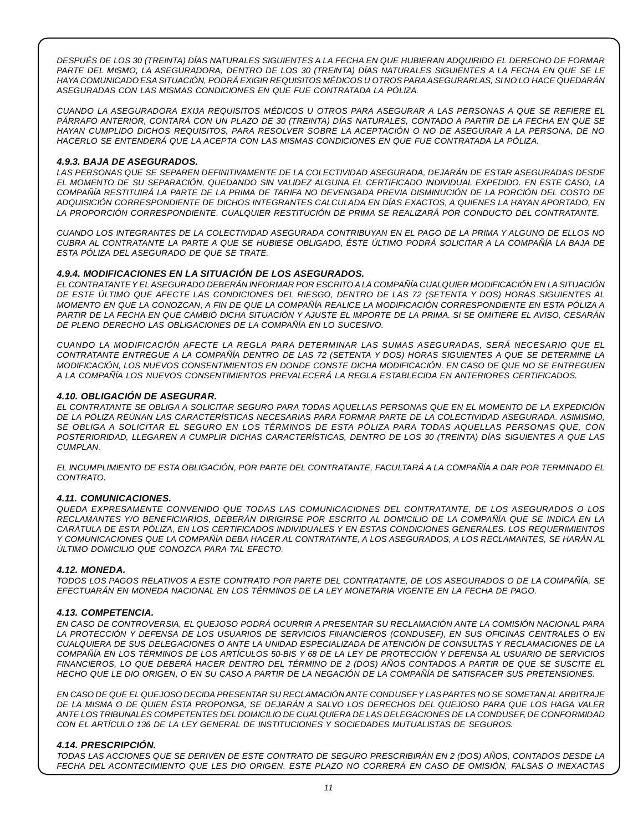DESPUÉS DE LOS 30 (TREINTA) DÍAS NATURALES SIGUIENTES A LA FECHA EN QUE HUBIERAN ADQUIRIDO EL DERECHO DE FORMAR PARTE DEL MISMO, LA ASEGURADORA, DENTRO DE LOS 30 (TREINTA) DÍAS NATURALES SIGUIENTES A LA FECHA EN QUE SE LE *HAYA COMUNICADO ESA SITUACIÓN, PODRÁ EXIGIR REQUISITOS MÉDICOS U OTROS PARAASEGURARLAS, SI NO LO HACE QUEDARÁN ASEGURADAS CON LAS MISMAS CONDICIONES EN QUE FUE CONTRATADA LA PÓLIZA.*

CUANDO LA ASEGURADORA EXIJA REQUISITOS MÉDICOS U OTROS PARA ASEGURAR A LAS PERSONAS A QUE SE REFIERE EL PÁRRAFO ANTERIOR, CONTARÁ CON UN PLAZO DE 30 (TREINTA) DÍAS NATURALES, CONTADO A PARTIR DE LA FECHA EN QUE SE HAYAN CUMPLIDO DICHOS REQUISITOS. PARA RESOLVER SOBRE LA ACEPTACIÓN O NO DE ASEGURAR A LA PERSONA. DE NO *HACERLO SE ENTENDERÁ QUE LA ACEPTA CON LAS MISMAS CONDICIONES EN QUE FUE CONTRATADA LA PÓLIZA.*

## *4.9.3. BAJA DE ASEGURADOS.*

*LAS PERSONAS QUE SE SEPAREN DEFINITIVAMENTE DE LA COLECTIVIDAD ASEGURADA, DEJARÁN DE ESTAR ASEGURADAS DESDE* EL MOMENTO DE SU SEPARACIÓN, QUEDANDO SIN VALIDEZ ALGUNA EL CERTIFICADO INDIVIDUAL EXPEDIDO. EN ESTE CASO, LA COMPAÑÍA RESTITUIRÁ LA PARTE DE LA PRIMA DE TARIFA NO DEVENGADA PREVIA DISMINUCIÓN DE LA PORCIÓN DEL COSTO DE *ADQUISICIÓN CORRESPONDIENTE DE DICHOS INTEGRANTES CALCULADA EN DÍAS EXACTOS, A QUIENES LA HAYAN APORTADO, EN LA PROPORCIÓN CORRESPONDIENTE. CUALQUIER RESTITUCIÓN DE PRIMA SE REALIZARÁ POR CONDUCTO DEL CONTRATANTE.*

CUANDO LOS INTEGRANTES DE LA COLECTIVIDAD ASEGURADA CONTRIBUYAN EN EL PAGO DE LA PRIMA Y ALGUNO DE ELLOS NO CUBRA AL CONTRATANTE LA PARTE A QUE SE HUBIESE OBLIGADO, ÉSTE ÚLTIMO PODRÁ SOLICITAR A LA COMPAÑÍA LA BAJA DE *ESTA PÓLIZA DEL ASEGURADO DE QUE SE TRATE.*

## *4.9.4. MODIFICACIONES EN LA SITUACIÓN DE LOS ASEGURADOS.*

*EL CONTRATANTEY EL ASEGURADO DEBERÁN INFORMAR POR ESCRITO A LA COMPAÑÍA CUALQUIER MODIFICACIÓN EN LA SITUACIÓN* DE ESTE ÚLTIMO QUE AFECTE LAS CONDICIONES DEL RIESGO, DENTRO DE LAS 72 (SETENTA Y DOS) HORAS SIGUIENTES AL MOMENTO EN QUE LA CONOZCAN, A FIN DE QUE LA COMPAÑÍA REALICE LA MODIFICACIÓN CORRESPONDIENTE EN ESTA PÓLIZA A PARTIR DE LA FECHA EN QUE CAMBIÓ DICHA SITUACIÓN Y AJUSTE EL IMPORTE DE LA PRIMA. SI SE OMITIERE EL AVISO, CESARÁN *DE PLENO DERECHO LAS OBLIGACIONES DE LA COMPAÑÍA EN LO SUCESIVO.*

*CUANDO LA MODIFICACIÓN AFECTE LA REGLA PARA DETERMINAR LAS SUMAS ASEGURADAS, SERÁ NECESARIO QUE EL* CONTRATANTE ENTREGUE A LA COMPAÑÍA DENTRO DE LAS 72 (SETENTA Y DOS) HORAS SIGUIENTES A QUE SE DETERMINE LA *MODIFICACIÓN, LOS NUEVOS CONSENTIMIENTOS EN DONDE CONSTE DICHA MODIFICACIÓN. EN CASO DE QUE NO SE ENTREGUEN A LA COMPAÑÍA LOS NUEVOS CONSENTIMIENTOS PREVALECERÁ LA REGLA ESTABLECIDA EN ANTERIORES CERTIFICADOS.*

## *4.10. OBLIGACIÓN DE ASEGURAR.*

EL CONTRATANTE SE OBLIGA A SOLICITAR SEGURO PARA TODAS AQUELLAS PERSONAS QUE EN EL MOMENTO DE LA EXPEDICIÓN *DE LA PÓLIZA REÚNAN LAS CARACTERÍSTICAS NECESARIAS PARA FORMAR PARTE DE LA COLECTIVIDAD ASEGURADA. ASIMISMO,* SE OBLIGA A SOLICITAR EL SEGURO EN LOS TÉRMINOS DE ESTA PÓLIZA PARA TODAS AQUELLAS PERSONAS QUE, CON *POSTERIORIDAD, LLEGAREN A CUMPLIR DICHAS CARACTERÍSTICAS, DENTRO DE LOS 30 (TREINTA) DÍAS SIGUIENTES A QUE LAS CUMPLAN.*

*EL INCUMPLIMIENTO DE ESTA OBLIGACIÓN, POR PARTE DEL CONTRATANTE, FACULTARÁ A LA COMPAÑÍA A DAR POR TERMINADO EL CONTRATO.*

#### *4.11. COMUNICACIONES.*

*QUEDA EXPRESAMENTE CONVENIDO QUE TODAS LAS COMUNICACIONES DEL CONTRATANTE, DE LOS ASEGURADOS O LOS* RECLAMANTES Y/O BENEFICIARIOS, DEBERÁN DIRIGIRSE POR ESCRITO AL DOMICILIO DE LA COMPAÑÍA QUE SE INDICA EN LA *CARÁTULA DE ESTA PÓLIZA, EN LOS CERTIFICADOS INDIVIDUALES Y EN ESTAS CONDICIONES GENERALES. LOS REQUERIMIENTOS* Y COMUNICACIONES QUE LA COMPAÑÍA DEBA HACER AL CONTRATANTE, A LOS ASEGURADOS, A LOS RECLAMANTES, SE HARÁN AL *ÚLTIMO DOMICILIO QUE CONOZCA PARA TAL EFECTO.*

#### *4.12. MONEDA.*

TODOS LOS PAGOS RELATIVOS A ESTE CONTRATO POR PARTE DEL CONTRATANTE. DE LOS ASEGURADOS O DE LA COMPAÑÍA. SE *EFECTUARÁN EN MONEDA NACIONAL EN LOS TÉRMINOS DE LA LEY MONETARIA VIGENTE EN LA FECHA DE PAGO.*

#### *4.13. COMPETENCIA.*

EN CASO DE CONTROVERSIA, EL QUEJOSO PODRÁ OCURRIR A PRESENTAR SU RECLAMACIÓN ANTE LA COMISIÓN NACIONAL PARA LA PROTECCIÓN Y DEFENSA DE LOS USUARIOS DE SERVICIOS FINANCIEROS (CONDUSEF), EN SUS OFICINAS CENTRALES O EN CUALQUIERA DE SUS DELEGACIONES O ANTE LA UNIDAD ESPECIALIZADA DE ATENCIÓN DE CONSULTAS Y RECLAMACIONES DE LA COMPAÑÍA EN LOS TÉRMINOS DE LOS ARTÍCULOS 50-BIS Y 68 DE LA LEY DE PROTECCIÓN Y DEFENSA AL USUARIO DE SERVICIOS FINANCIEROS, LO QUE DEBERÁ HACER DENTRO DEL TÉRMINO DE 2 (DOS) AÑOS CONTADOS A PARTIR DE QUE SE SUSCITE EL HECHO QUE LE DIO ORIGEN, O EN SU CASO A PARTIR DE LA NEGACIÓN DE LA COMPAÑÍA DE SATISFACER SUS PRETENSIONES.

EN CASO DE QUE EL QUEJOSO DECIDA PRESENTAR SU RECLAMACIÓN ANTE CONDUSEF Y LAS PARTES NO SE SOMETAN AL ARBITRAJE DE LA MISMA O DE QUIEN ÉSTA PROPONGA, SE DEJARÁN A SALVO LOS DERECHOS DEL QUEJOSO PARA QUE LOS HAGA VALER *ANTE LOS TRIBUNALES COMPETENTES DEL DOMICILIO DE CUALQUIERA DE LAS DELEGACIONES DE LA CONDUSEF, DE CONFORMIDAD CON EL ARTÍCULO 136 DE LA LEY GENERAL DE INSTITUCIONES Y SOCIEDADES MUTUALISTAS DE SEGUROS.*

#### *4.14. PRESCRIPCIÓN.*

TODAS LAS ACCIONES QUE SE DERIVEN DE ESTE CONTRATO DE SEGURO PRESCRIBIRÁN EN 2 (DOS) AÑOS, CONTADOS DESDE LA FECHA DEL ACONTECIMIENTO QUE LES DIO ORIGEN. ESTE PLAZO NO CORRERÁ EN CASO DE OMISIÓN. FALSAS O INEXACTAS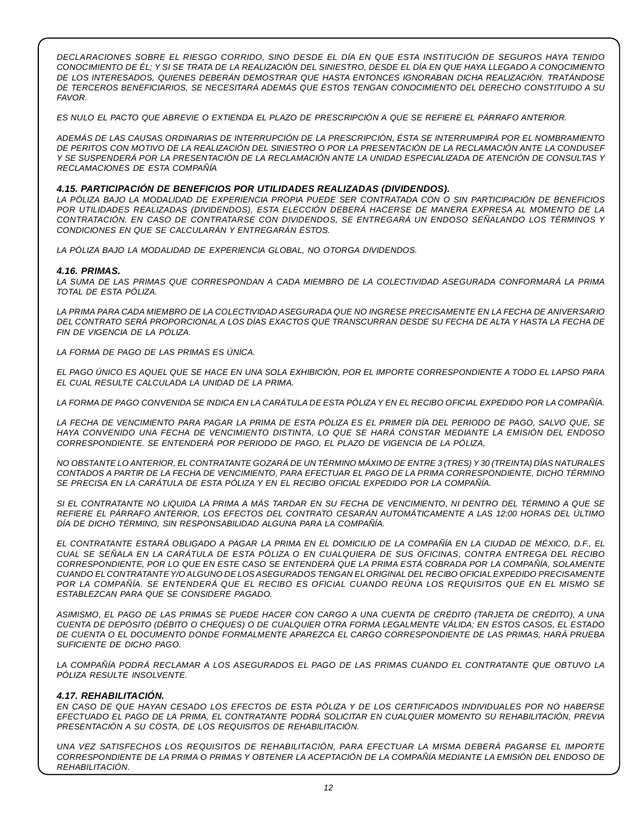*DECLARACIONES SOBRE EL RIESGO CORRIDO, SINO DESDE EL DÍA EN QUE ESTA INSTITUCIÓN DE SEGUROS HAYA TENIDO* CONOCIMIENTO DE ÉL: Y SI SE TRATA DE LA REALIZACIÓN DEL SINIESTRO. DESDE EL DÍA EN QUE HAYA LLEGADO A CONOCIMIENTO *DE LOS INTERESADOS, QUIENES DEBERÁN DEMOSTRAR QUE HASTA ENTONCES IGNORABAN DICHA REALIZACIÓN. TRATÁNDOSE DE TERCEROS BENEFICIARIOS, SE NECESITARÁ ADEMÁS QUE ÉSTOS TENGAN CONOCIMIENTO DEL DERECHO CONSTITUIDO A SU FAVOR.*

ES NULO EL PACTO QUE ABREVIE O EXTIENDA EL PLAZO DE PRESCRIPCIÓN A QUE SE REFIERE EL PÁRRAFO ANTERIOR.

*ADEMÁS DE LAS CAUSAS ORDINARIAS DE INTERRUPCIÓN DE LA PRESCRIPCIÓN, ÉSTA SE INTERRUMPIRÁ POR EL NOMBRAMIENTO* DE PERITOS CON MOTIVO DE LA REALIZACIÓN DEL SINIESTRO O POR LA PRESENTACIÓN DE LA RECLAMACIÓN ANTE LA CONDUSEF Y SE SUSPENDERÁ POR LA PRESENTACIÓN DE LA RECLAMACIÓN ANTE LA UNIDAD ESPECIALIZADA DE ATENCIÓN DE CONSULTAS Y *RECLAMACIONES DE ESTA COMPAÑÍA*

#### *4.15. PARTICIPACIÓN DE BENEFICIOS POR UTILIDADES REALIZADAS (DIVIDENDOS).*

LA PÓLIZA BAJO LA MODALIDAD DE EXPERIENCIA PROPIA PUEDE SER CONTRATADA CON O SIN PARTICIPACIÓN DE BENEFICIOS *POR UTILIDADES REALIZADAS (DIVIDENDOS), ESTA ELECCIÓN DEBERÁ HACERSE DE MANERA EXPRESA AL MOMENTO DE LA CONTRATACIÓN. EN CASO DE CONTRATARSE CON DIVIDENDOS, SE ENTREGARÁ UN ENDOSO SEÑALANDO LOS TÉRMINOS Y CONDICIONES EN QUE SE CALCULARÁN Y ENTREGARÁN ÉSTOS.*

*LA PÓLIZA BAJO LA MODALIDAD DE EXPERIENCIA GLOBAL, NO OTORGA DIVIDENDOS.*

#### *4.16. PRIMAS.*

*LA SUMA DE LAS PRIMAS QUE CORRESPONDAN A CADA MIEMBRO DE LA COLECTIVIDAD ASEGURADA CONFORMARÁ LA PRIMA TOTAL DE ESTA PÓLIZA.*

LA PRIMA PARA CADA MIEMBRO DE LA COLECTIVIDAD ASEGURADA QUE NO INGRESE PRECISAMENTE EN LA FECHA DE ANIVERSARIO DEL CONTRATO SERÁ PROPORCIONAL A LOS DÍAS EXACTOS QUE TRANSCURRAN DESDE SU FECHA DE ALTA Y HASTA LA FECHA DE *FIN DE VIGENCIA DE LA PÓLIZA.*

*LA FORMA DE PAGO DE LAS PRIMAS ES ÚNICA.*

EL PAGO ÚNICO ES AQUEL QUE SE HACE EN UNA SOLA EXHIBICIÓN. POR EL IMPORTE CORRESPONDIENTE A TODO EL LAPSO PARA *EL CUAL RESULTE CALCULADA LA UNIDAD DE LA PRIMA.*

LA FORMA DE PAGO CONVENIDA SE INDICA EN LA CARÁTULA DE ESTA PÓLIZA Y EN EL RECIBO OFICIAL EXPEDIDO POR LA COMPAÑÍA.

LA FECHA DE VENCIMIENTO PARA PAGAR LA PRIMA DE ESTA PÓLIZA ES EL PRIMER DÍA DEL PERIODO DE PAGO, SALVO QUE, SE *HAYA CONVENIDO UNA FECHA DE VENCIMIENTO DISTINTA, LO QUE SE HARÁ CONSTAR MEDIANTE LA EMISIÓN DEL ENDOSO CORRESPONDIENTE. SE ENTENDERÁ POR PERIODO DE PAGO, EL PLAZO DE VIGENCIA DE LA PÓLIZA,*

NO OBSTANTE LO ANTERIOR, EL CONTRATANTE GOZARÁ DE UN TÉRMINO MÁXIMO DE ENTRE 3 (TRES) Y 30 (TREINTA) DÍAS NATURALES *CONTADOS A PARTIR DE LA FECHA DE VENCIMIENTO, PARA EFECTUAR EL PAGO DE LA PRIMA CORRESPONDIENTE, DICHO TÉRMINO SE PRECISA EN LA CARÁTULA DE ESTA PÓLIZA Y EN EL RECIBO OFICIAL EXPEDIDO POR LA COMPAÑÍA.*

SI EL CONTRATANTE NO LIQUIDA LA PRIMA A MÁS TARDAR EN SU FECHA DE VENCIMIENTO, NI DENTRO DEL TÉRMINO A QUE SE *REFIERE EL PÁRRAFO ANTERIOR, LOS EFECTOS DEL CONTRATO CESARÁN AUTOMÁTICAMENTE A LAS 12:00 HORAS DEL ÚLTIMO DÍA DE DICHO TÉRMINO, SIN RESPONSABILIDAD ALGUNA PARA LA COMPAÑÍA.*

EL CONTRATANTE ESTARÁ OBLIGADO A PAGAR LA PRIMA EN EL DOMICILIO DE LA COMPAÑÍA EN LA CIUDAD DE MÉXICO, D.F., EL CUAL SE SEÑALA EN LA CARÁTULA DE ESTA PÓLIZA O EN CUALQUIERA DE SUS OFICINAS, CONTRA ENTREGA DEL RECIBO CORRESPONDIENTE, POR LO QUE EN ESTE CASO SE ENTENDERÁ QUE LA PRIMA ESTÁ COBRADA POR LA COMPAÑÍA, SOLAMENTE *CUANDO EL CONTRATANTE Y/O ALGUNO DE LOS ASEGURADOS TENGAN ELORIGINAL DEL RECIBO OFICIALEXPEDIDO PRECISAMENTE* POR LA COMPAÑÍA. SE ENTENDERÁ QUE EL RECIBO ES OFICIAL CUANDO REÚNA LOS REQUISITOS QUE EN EL MISMO SE *ESTABLEZCAN PARA QUE SE CONSIDERE PAGADO.*

ASIMISMO, EL PAGO DE LAS PRIMAS SE PUEDE HACER CON CARGO A UNA CUENTA DE CRÉDITO (TARJETA DE CRÉDITO), A UNA CUENTA DE DEPÓSITO (DÉBITO O CHEQUES) O DE CUALQUIER OTRA FORMA LEGALMENTE VÁLIDA; EN ESTOS CASOS, EL ESTADO *DE CUENTA O EL DOCUMENTO DONDE FORMALMENTE APAREZCA EL CARGO CORRESPONDIENTE DE LAS PRIMAS, HARÁ PRUEBA SUFICIENTE DE DICHO PAGO.*

LA COMPAÑÍA PODRÁ RECLAMAR A LOS ASEGURADOS EL PAGO DE LAS PRIMAS CUANDO EL CONTRATANTE QUE OBTUVO LA *PÓLIZA RESULTE INSOLVENTE.*

#### *4.17. REHABILITACIÓN.*

EN CASO DE QUE HAYAN CESADO LOS EFECTOS DE ESTA PÓLIZA Y DE LOS CERTIFICADOS INDIVIDUALES POR NO HABERSE *EFECTUADO EL PAGO DE LA PRIMA, EL CONTRATANTE PODRÁ SOLICITAR EN CUALQUIER MOMENTO SU REHABILITACIÓN, PREVIA PRESENTACIÓN A SU COSTA, DE LOS REQUISITOS DE REHABILITACIÓN.*

*UNA VEZ SATISFECHOS LOS REQUISITOS DE REHABILITACIÓN, PARA EFECTUAR LA MISMA DEBERÁ PAGARSE EL IMPORTE* CORRESPONDIENTE DE LA PRIMA O PRIMAS Y OBTENER LA ACEPTACIÓN DE LA COMPAÑÍA MEDIANTE LA EMISIÓN DEL ENDOSO DE *REHABILITACIÓN.*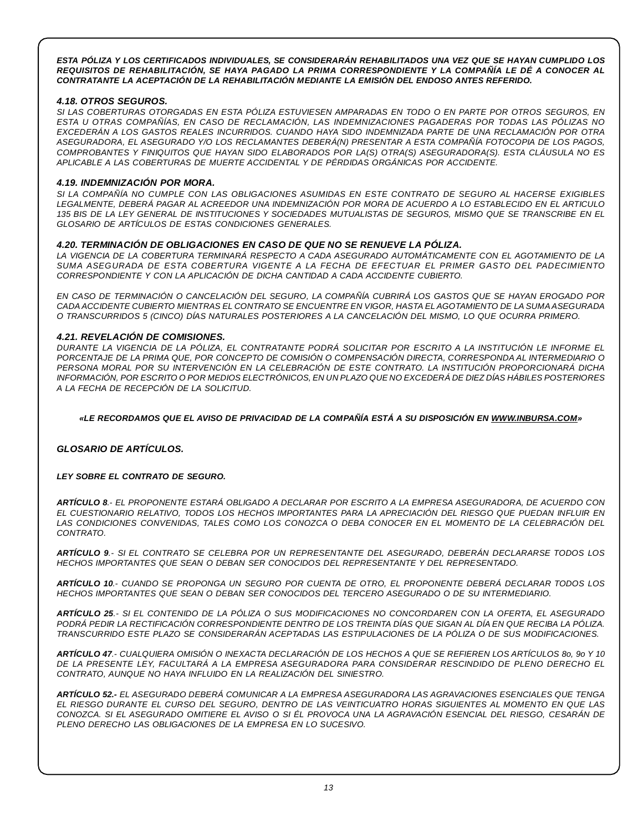*ESTA PÓLIZA Y LOS CERTIFICADOS INDIVIDUALES, SE CONSIDERARÁN REHABILITADOS UNA VEZ QUE SE HAYAN CUMPLIDO LOS REQUISITOS DE REHABILITACIÓN, SE HAYA PAGADO LA PRIMA CORRESPONDIENTE Y LA COMPAÑÍA LE DÉ A CONOCER AL CONTRATANTE LA ACEPTACIÓN DE LA REHABILITACIÓN MEDIANTE LA EMISIÓN DEL ENDOSO ANTES REFERIDO.*

## *4.18. OTROS SEGUROS.*

SI LAS COBERTURAS OTORGADAS EN ESTA PÓLIZA ESTUVIESEN AMPARADAS EN TODO O EN PARTE POR OTROS SEGUROS. EN *ESTA U OTRAS COMPAÑÍAS, EN CASO DE RECLAMACIÓN, LAS INDEMNIZACIONES PAGADERAS POR TODAS LAS PÓLIZAS NO EXCEDERÁN A LOS GASTOS REALES INCURRIDOS. CUANDO HAYA SIDO INDEMNIZADA PARTE DE UNA RECLAMACIÓN POR OTRA ASEGURADORA, EL ASEGURADO Y/O LOS RECLAMANTES DEBERÁ(N) PRESENTAR A ESTA COMPAÑÍA FOTOCOPIA DE LOS PAGOS, COMPROBANTES Y FINIQUITOS QUE HAYAN SIDO ELABORADOS POR LA(S) OTRA(S) ASEGURADORA(S). ESTA CLÁUSULA NO ES APLICABLE A LAS COBERTURAS DE MUERTE ACCIDENTAL Y DE PÉRDIDAS ORGÁNICAS POR ACCIDENTE.*

## *4.19. INDEMNIZACIÓN POR MORA.*

*SI LA COMPAÑÍA NO CUMPLE CON LAS OBLIGACIONES ASUMIDAS EN ESTE CONTRATO DE SEGURO AL HACERSE EXIGIBLES* LEGALMENTE, DEBERÁ PAGAR AL ACREEDOR UNA INDEMNIZACIÓN POR MORA DE ACUERDO A LO ESTABLECIDO EN EL ARTICULO 135 BIS DE LA LEY GENERAL DE INSTITUCIONES Y SOCIEDADES MUTUALISTAS DE SEGUROS, MISMO QUE SE TRANSCRIBE EN EL *GLOSARIO DE ARTÍCULOS DE ESTAS CONDICIONES GENERALES.*

#### *4.20. TERMINACIÓN DE OBLIGACIONES EN CASO DE QUE NO SE RENUEVE LA PÓLIZA.*

*LA VIGENCIA DE LA COBERTURA TERMINARÁ RESPECTO A CADA ASEGURADO AUTOMÁTICAMENTE CON EL AGOTAMIENTO DE LA SUMA ASEGURADA DE ESTA COBERTURA VIGENTE A LA FECHA DE EFECTUAR EL PRIMER GASTO DEL PADECIMIENTO CORRESPONDIENTE Y CON LA APLICACIÓN DE DICHA CANTIDAD A CADA ACCIDENTE CUBIERTO.*

EN CASO DE TERMINACIÓN O CANCELACIÓN DEL SEGURO, LA COMPAÑÍA CUBRIRÁ LOS GASTOS QUE SE HAYAN EROGADO POR *CADA ACCIDENTE CUBIERTO MIENTRAS EL CONTRATO SE ENCUENTRE EN VIGOR, HASTA EL AGOTAMIENTO DE LA SUMAASEGURADA O TRANSCURRIDOS 5 (CINCO) DÍAS NATURALES POSTERIORES A LA CANCELACIÓN DEL MISMO, LO QUE OCURRA PRIMERO.*

# *4.21. REVELACIÓN DE COMISIONES.*

DURANTE LA VIGENCIA DE LA PÓLIZA. EL CONTRATANTE PODRÁ SOLICITAR POR ESCRITO A LA INSTITUCIÓN LE INFORME EL *PORCENTAJE DE LA PRIMA QUE, POR CONCEPTO DE COMISIÓN O COMPENSACIÓN DIRECTA, CORRESPONDA AL INTERMEDIARIO O PERSONA MORAL POR SU INTERVENCIÓN EN LA CELEBRACIÓN DE ESTE CONTRATO. LA INSTITUCIÓN PROPORCIONARÁ DICHA* INFORMACIÓN, POR ESCRITO O POR MEDIOS ELECTRÓNICOS, EN UN PLAZO QUE NO EXCEDERÁ DE DIEZ DÍAS HÁBILES POSTERIORES *A LA FECHA DE RECEPCIÓN DE LA SOLICITUD.*

#### *«LE RECORDAMOS QUE EL AVISO DE PRIVACIDAD DE LA COMPAÑÍA ESTÁ A SU DISPOSICIÓN EN [WWW.INBURSA.COM](http://www.INBURSA.COM)»*

# *GLOSARIO DE ARTÍCULOS.*

#### *LEY SOBRE EL CONTRATO DE SEGURO.*

ARTÍCULO 8.- EL PROPONENTE ESTARÁ OBLIGADO A DECLARAR POR ESCRITO A LA EMPRESA ASEGURADORA. DE ACUERDO CON *EL CUESTIONARIO RELATIVO, TODOS LOS HECHOS IMPORTANTES PARA LA APRECIACIÓN DEL RIESGO QUE PUEDAN INFLUIR EN LAS CONDICIONES CONVENIDAS, TALES COMO LOS CONOZCA O DEBA CONOCER EN EL MOMENTO DE LA CELEBRACIÓN DEL CONTRATO.*

*ARTÍCULO 9.- SI EL CONTRATO SE CELEBRA POR UN REPRESENTANTE DEL ASEGURADO, DEBERÁN DECLARARSE TODOS LOS HECHOS IMPORTANTES QUE SEAN O DEBAN SER CONOCIDOS DEL REPRESENTANTE Y DEL REPRESENTADO.*

ARTÍCULO 10.- CUANDO SE PROPONGA UN SEGURO POR CUENTA DE OTRO. EL PROPONENTE DEBERÁ DECLARAR TODOS LOS *HECHOS IMPORTANTES QUE SEAN O DEBAN SER CONOCIDOS DEL TERCERO ASEGURADO O DE SU INTERMEDIARIO.*

ARTÍCULO 25.- SI EL CONTENIDO DE LA PÓLIZA O SUS MODIFICACIONES NO CONCORDAREN CON LA OFERTA, EL ASEGURADO PODRÁ PEDIR LA RECTIFICACIÓN CORRESPONDIENTE DENTRO DE LOS TREINTA DÍAS QUE SIGAN AL DÍA EN QUE RECIBA LA PÓLIZA. *TRANSCURRIDO ESTE PLAZO SE CONSIDERARÁN ACEPTADAS LAS ESTIPULACIONES DE LA PÓLIZA O DE SUS MODIFICACIONES.*

ARTÍCULO 47.- CUALQUIERA OMISIÓN O INEXACTA DECLARACIÓN DE LOS HECHOS A QUE SE REFIEREN LOS ARTÍCULOS 80, 90 Y 10 *DE LA PRESENTE LEY, FACULTARÁ A LA EMPRESA ASEGURADORA PARA CONSIDERAR RESCINDIDO DE PLENO DERECHO EL CONTRATO, AUNQUE NO HAYA INFLUIDO EN LA REALIZACIÓN DEL SINIESTRO.*

*ARTÍCULO 52.- EL ASEGURADO DEBERÁ COMUNICAR A LA EMPRESA ASEGURADORA LAS AGRAVACIONES ESENCIALES QUE TENGA* EL RIESGO DURANTE EL CURSO DEL SEGURO, DENTRO DE LAS VEINTICUATRO HORAS SIGUIENTES AL MOMENTO EN QUE LAS CONOZCA. SI EL ASEGURADO OMITIERE EL AVISO O SI ÉL PROVOCA UNA LA AGRAVACIÓN ESENCIAL DEL RIESGO, CESARÁN DE *PLENO DERECHO LAS OBLIGACIONES DE LA EMPRESA EN LO SUCESIVO.*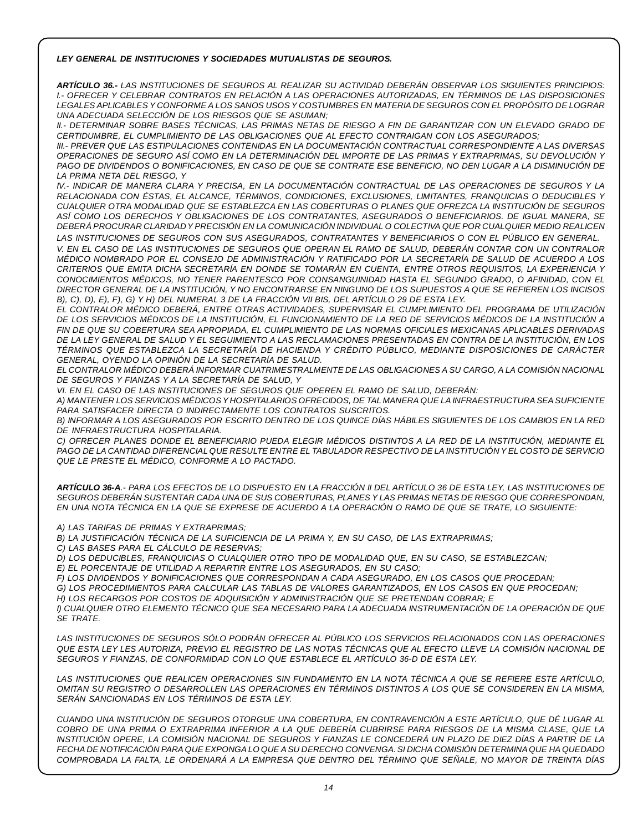#### *LEY GENERAL DE INSTITUCIONES Y SOCIEDADES MUTUALISTAS DE SEGUROS.*

*ARTÍCULO 36.- LAS INSTITUCIONES DE SEGUROS AL REALIZAR SU ACTIVIDAD DEBERÁN OBSERVAR LOS SIGUIENTES PRINCIPIOS: I.- OFRECER Y CELEBRAR CONTRATOS EN RELACIÓN A LAS OPERACIONES AUTORIZADAS, EN TÉRMINOS DE LAS DISPOSICIONES* LEGALES APLICABLES Y CONFORME A LOS SANOS USOS Y COSTUMBRES EN MATERIA DE SEGUROS CON EL PROPÓSITO DE LOGRAR *UNA ADECUADA SELECCIÓN DE LOS RIESGOS QUE SE ASUMAN;*

II.- DETERMINAR SOBRE BASES TÉCNICAS, LAS PRIMAS NETAS DE RIESGO A FIN DE GARANTIZAR CON UN ELEVADO GRADO DE *CERTIDUMBRE, EL CUMPLIMIENTO DE LAS OBLIGACIONES QUE AL EFECTO CONTRAIGAN CON LOS ASEGURADOS;*

*III.- PREVER QUE LAS ESTIPULACIONES CONTENIDAS EN LA DOCUMENTACIÓN CONTRACTUAL CORRESPONDIENTE A LAS DIVERSAS* OPERACIONES DE SEGURO ASÍ COMO EN LA DETERMINACIÓN DEL IMPORTE DE LAS PRIMAS Y EXTRAPRIMAS, SU DEVOLUCIÓN Y PAGO DE DIVIDENDOS O BONIFICACIONES, EN CASO DE QUE SE CONTRATE ESE BENEFICIO, NO DEN LUGAR A LA DISMINUCIÓN DE *LA PRIMA NETA DEL RIESGO, Y*

IV.- INDICAR DE MANERA CLARA Y PRECISA, EN LA DOCUMENTACIÓN CONTRACTUAL DE LAS OPERACIONES DE SEGUROS Y LA *RELACIONADA CON ÉSTAS, EL ALCANCE, TÉRMINOS, CONDICIONES, EXCLUSIONES, LIMITANTES, FRANQUICIAS O DEDUCIBLES Y* CUALQUIER OTRA MODALIDAD QUE SE ESTABLEZCA EN LAS COBERTURAS O PLANES QUE OFREZCA LA INSTITUCIÓN DE SEGUROS *ASÍ COMO LOS DERECHOS Y OBLIGACIONES DE LOS CONTRATANTES, ASEGURADOS O BENEFICIARIOS. DE IGUAL MANERA, SE DEBERÁ PROCURAR CLARIDAD Y PRECISIÓN EN LA COMUNICACIÓN INDIVIDUAL O COLECTIVA QUE POR CUALQUIER MEDIO REALICEN*

*LAS INSTITUCIONES DE SEGUROS CON SUS ASEGURADOS, CONTRATANTES Y BENEFICIARIOS O CON EL PÚBLICO EN GENERAL.* V. EN EL CASO DE LAS INSTITUCIONES DE SEGUROS QUE OPERAN EL RAMO DE SALUD, DEBERÁN CONTAR CON UN CONTRALOR MÉDICO NOMBRADO POR EL CONSEJO DE ADMINISTRACIÓN Y RATIFICADO POR LA SECRETARÍA DE SALUD DE ACUERDO A LOS *CRITERIOS QUE EMITA DICHA SECRETARÍA EN DONDE SE TOMARÁN EN CUENTA, ENTRE OTROS REQUISITOS, LA EXPERIENCIA Y CONOCIMIENTOS MÉDICOS, NO TENER PARENTESCO POR CONSANGUINIDAD HASTA EL SEGUNDO GRADO, O AFINIDAD, CON EL* DIRECTOR GENERAL DE LA INSTITUCIÓN, Y NO ENCONTRARSE EN NINGUNO DE LOS SUPUESTOS A QUE SE REFIEREN LOS INCISOS B), C), D), E), F), G) Y H) DEL NUMERAL 3 DE LA FRACCIÓN VII BIS, DEL ARTÍCULO 29 DE ESTA LEY.

*EL CONTRALOR MÉDICO DEBERÁ, ENTRE OTRAS ACTIVIDADES, SUPERVISAR EL CUMPLIMIENTO DEL PROGRAMA DE UTILIZACIÓN* DE LOS SERVICIOS MÉDICOS DE LA INSTITUCIÓN, EL FUNCIONAMIENTO DE LA RED DE SERVICIOS MÉDICOS DE LA INSTITUCIÓN A *FIN DE QUE SU COBERTURA SEA APROPIADA, EL CUMPLIMIENTO DE LAS NORMAS OFICIALES MEXICANAS APLICABLES DERIVADAS* DE LA LEY GENERAL DE SALUD Y EL SEGUIMIENTO A LAS RECLAMACIONES PRESENTADAS EN CONTRA DE LA INSTITUCIÓN, EN LOS *TÉRMINOS QUE ESTABLEZCA LA SECRETARÍA DE HACIENDA Y CRÉDITO PÚBLICO, MEDIANTE DISPOSICIONES DE CARÁCTER GENERAL, OYENDO LA OPINIÓN DE LA SECRETARÍA DE SALUD.*

*EL CONTRALOR MÉDICO DEBERÁ INFORMAR CUATRIMESTRALMENTE DE LAS OBLIGACIONES A SU CARGO, A LA COMISIÓN NACIONAL DE SEGUROS Y FIANZAS Y A LA SECRETARÍA DE SALUD, Y*

*VI. EN EL CASO DE LAS INSTITUCIONES DE SEGUROS QUE OPEREN EL RAMO DE SALUD, DEBERÁN:*

*A) MANTENER LOS SERVICIOS MÉDICOS Y HOSPITALARIOS OFRECIDOS, DE TAL MANERA QUE LA INFRAESTRUCTURA SEA SUFICIENTE PARA SATISFACER DIRECTA O INDIRECTAMENTE LOS CONTRATOS SUSCRITOS.*

B) INFORMAR A LOS ASEGURADOS POR ESCRITO DENTRO DE LOS QUINCE DÍAS HÁBILES SIGUIENTES DE LOS CAMBIOS EN LA RED *DE INFRAESTRUCTURA HOSPITALARIA.*

C) OFRECER PLANES DONDE EL BENEFICIARIO PUEDA ELEGIR MÉDICOS DISTINTOS A LA RED DE LA INSTITUCIÓN, MEDIANTE EL PAGO DE LA CANTIDAD DIFERENCIAL QUE RESULTE ENTRE EL TABULADOR RESPECTIVO DE LA INSTITUCIÓN Y EL COSTO DE SERVICIO *QUE LE PRESTE EL MÉDICO, CONFORME A LO PACTADO.*

ARTÍCULO 36-A.- PARA LOS EFECTOS DE LO DISPUESTO EN LA FRACCIÓN II DEL ARTÍCULO 36 DE ESTA LEY, LAS INSTITUCIONES DE SEGUROS DEBERÁN SUSTENTAR CADA UNA DE SUS COBERTURAS, PLANES Y LAS PRIMAS NETAS DE RIESGO QUE CORRESPONDAN, EN UNA NOTA TÉCNICA EN LA QUE SE EXPRESE DE ACUERDO A LA OPERACIÓN O RAMO DE QUE SE TRATE, LO SIGUIENTE:

*A) LAS TARIFAS DE PRIMAS Y EXTRAPRIMAS;*

*B) LA JUSTIFICACIÓN TÉCNICA DE LA SUFICIENCIA DE LA PRIMA Y, EN SU CASO, DE LAS EXTRAPRIMAS;*

*C) LAS BASES PARA EL CÁLCULO DE RESERVAS;*

*D) LOS DEDUCIBLES, FRANQUICIAS O CUALQUIER OTRO TIPO DE MODALIDAD QUE, EN SU CASO, SE ESTABLEZCAN;*

*E) EL PORCENTAJE DE UTILIDAD A REPARTIR ENTRE LOS ASEGURADOS, EN SU CASO;*

*F) LOS DIVIDENDOS Y BONIFICACIONES QUE CORRESPONDAN A CADA ASEGURADO, EN LOS CASOS QUE PROCEDAN;*

*G) LOS PROCEDIMIENTOS PARA CALCULAR LAS TABLAS DE VALORES GARANTIZADOS, EN LOS CASOS EN QUE PROCEDAN; H) LOS RECARGOS POR COSTOS DE ADQUISICIÓN Y ADMINISTRACIÓN QUE SE PRETENDAN COBRAR; E*

*I) CUALQUIER OTRO ELEMENTO TÉCNICO QUE SEA NECESARIO PARA LA ADECUADA INSTRUMENTACIÓN DE LA OPERACIÓN DE QUE SE TRATE.*

*LAS INSTITUCIONES DE SEGUROS SÓLO PODRÁN OFRECER AL PÚBLICO LOS SERVICIOS RELACIONADOS CON LAS OPERACIONES* QUE ESTA LEY LES AUTORIZA, PREVIO EL REGISTRO DE LAS NOTAS TÉCNICAS QUE AL EFECTO LLEVE LA COMISIÓN NACIONAL DE *SEGUROS Y FIANZAS, DE CONFORMIDAD CON LO QUE ESTABLECE EL ARTÍCULO 36-D DE ESTA LEY.*

LAS INSTITUCIONES QUE REALICEN OPERACIONES SIN FUNDAMENTO EN LA NOTA TÉCNICA A QUE SE REFIERE ESTE ARTÍCULO, OMITAN SU REGISTRO O DESARROLLEN LAS OPERACIONES EN TÉRMINOS DISTINTOS A LOS QUE SE CONSIDEREN EN LA MISMA. *SERÁN SANCIONADAS EN LOS TÉRMINOS DE ESTA LEY.*

*CUANDO UNA INSTITUCIÓN DE SEGUROS OTORGUE UNA COBERTURA, EN CONTRAVENCIÓN A ESTE ARTÍCULO, QUE DÉ LUGAR AL* COBRO DE UNA PRIMA O EXTRAPRIMA INFERIOR A LA QUE DEBERÍA CUBRIRSE PARA RIESGOS DE LA MISMA CLASE, QUE LA INSTITUCIÓN OPERE, LA COMISIÓN NACIONAL DE SEGUROS Y FIANZAS LE CONCEDERÁ UN PLAZO DE DIEZ DÍAS A PARTIR DE LA FECHA DE NOTIFICACIÓN PARA QUE EXPONGA LO QUE A SU DERECHO CONVENGA. SI DICHA COMISIÓN DETERMINA QUE HA QUEDADO COMPROBADA LA FALTA, LE ORDENARÁ A LA EMPRESA QUE DENTRO DEL TÉRMINO QUE SEÑALE, NO MAYOR DE TREINTA DÍAS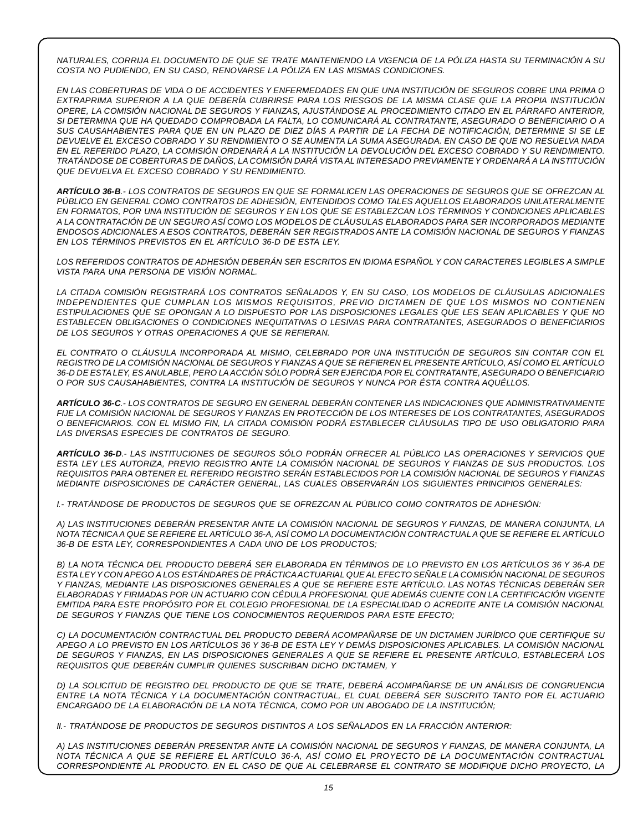NATURALES, CORRIJA EL DOCUMENTO DE QUE SE TRATE MANTENIENDO LA VIGENCIA DE LA PÓLIZA HASTA SU TERMINACIÓN A SU *COSTA NO PUDIENDO, EN SU CASO, RENOVARSE LA PÓLIZA EN LAS MISMAS CONDICIONES.*

EN LAS COBERTURAS DE VIDA O DE ACCIDENTES Y ENFERMEDADES EN QUE UNA INSTITUCIÓN DE SEGUROS COBRE UNA PRIMA O EXTRAPRIMA SUPERIOR A LA QUE DEBERÍA CUBRIRSE PARA LOS RIESGOS DE LA MISMA CLASE QUE LA PROPIA INSTITUCIÓN *OPERE, LA COMISIÓN NACIONAL DE SEGUROS Y FIANZAS, AJUSTÁNDOSE AL PROCEDIMIENTO CITADO EN EL PÁRRAFO ANTERIOR, SI DETERMINA QUE HA QUEDADO COMPROBADA LA FALTA, LO COMUNICARÁ AL CONTRATANTE, ASEGURADO O BENEFICIARIO O A* SUS CAUSAHABIENTES PARA QUE EN UN PLAZO DE DIEZ DÍAS A PARTIR DE LA FECHA DE NOTIFICACIÓN. DETERMINE SI SE LE DEVUELVE EL EXCESO COBRADO Y SU RENDIMIENTO O SE AUMENTA LA SUMA ASEGURADA. EN CASO DE QUE NO RESUELVA NADA EN EL REFERIDO PLAZO, LA COMISIÓN ORDENARÁ A LA INSTITUCIÓN LA DEVOLUCIÓN DEL EXCESO COBRADO Y SU RENDIMIENTO. *TRATÁNDOSE DE COBERTURAS DE DAÑOS, LA COMISIÓN DARÁ VISTA AL INTERESADO PREVIAMENTE Y ORDENARÁ A LA INSTITUCIÓN QUE DEVUELVA EL EXCESO COBRADO Y SU RENDIMIENTO.*

ARTÍCULO 36-B.- LOS CONTRATOS DE SEGUROS EN QUE SE FORMALICEN LAS OPERACIONES DE SEGUROS QUE SE OFREZCAN AL *PÚBLICO EN GENERAL COMO CONTRATOS DE ADHESIÓN, ENTENDIDOS COMO TALES AQUELLOS ELABORADOS UNILATERALMENTE* EN FORMATOS. POR UNA INSTITUCIÓN DE SEGUROS Y EN LOS QUE SE ESTABLEZCAN LOS TÉRMINOS Y CONDICIONES APLICABLES A LA CONTRATACIÓN DE UN SEGURO ASÍ COMO LOS MODELOS DE CLÁUSULAS ELABORADOS PARA SER INCORPORADOS MEDIANTE *ENDOSOS ADICIONALES A ESOS CONTRATOS, DEBERÁN SER REGISTRADOS ANTE LA COMISIÓN NACIONAL DE SEGUROS Y FIANZAS EN LOS TÉRMINOS PREVISTOS EN EL ARTÍCULO 36-D DE ESTA LEY.*

*LOS REFERIDOS CONTRATOS DE ADHESIÓN DEBERÁN SER ESCRITOS EN IDIOMA ESPAÑOL Y CON CARACTERES LEGIBLES A SIMPLE VISTA PARA UNA PERSONA DE VISIÓN NORMAL.*

*LA CITADA COMISIÓN REGISTRARÁ LOS CONTRATOS SEÑALADOS Y, EN SU CASO, LOS MODELOS DE CLÁUSULAS ADICIONALES INDEPENDIENTES QUE CUMPLAN LOS MISMOS REQUISITOS, PREVIO DICTAMEN DE QUE LOS MISMOS NO CONTIENEN* ESTIPULACIONES QUE SE OPONGAN A LO DISPUESTO POR LAS DISPOSICIONES LEGALES QUE LES SEAN APLICABLES Y QUE NO *ESTABLECEN OBLIGACIONES O CONDICIONES INEQUITATIVAS O LESIVAS PARA CONTRATANTES, ASEGURADOS O BENEFICIARIOS DE LOS SEGUROS Y OTRAS OPERACIONES A QUE SE REFIERAN.*

*EL CONTRATO O CLÁUSULA INCORPORADA AL MISMO, CELEBRADO POR UNA INSTITUCIÓN DE SEGUROS SIN CONTAR CON EL* REGISTRO DE LA COMISIÓN NACIONAL DE SEGUROS Y FIANZAS A QUE SE REFIEREN EL PRESENTE ARTÍCULO, ASÍ COMO EL ARTÍCULO 36-D DE ESTA LEY. ES ANULABLE. PERO LA ACCIÓN SÓLO PODRÁ SER EJERCIDA POR EL CONTRATANTE. ASEGURADO O BENEFICIARIO *O POR SUS CAUSAHABIENTES, CONTRA LA INSTITUCIÓN DE SEGUROS Y NUNCA POR ÉSTA CONTRA AQUÉLLOS.*

*ARTÍCULO 36-C.- LOS CONTRATOS DE SEGURO EN GENERAL DEBERÁN CONTENER LAS INDICACIONES QUE ADMINISTRATIVAMENTE FIJE LA COMISIÓN NACIONAL DE SEGUROS Y FIANZAS EN PROTECCIÓN DE LOS INTERESES DE LOS CONTRATANTES, ASEGURADOS* O BENEFICIARIOS. CON EL MISMO FIN, LA CITADA COMISIÓN PODRÁ ESTABLECER CLÁUSULAS TIPO DE USO OBLIGATORIO PARA *LAS DIVERSAS ESPECIES DE CONTRATOS DE SEGURO.*

ARTÍCULO 36-D.- LAS INSTITUCIONES DE SEGUROS SÓLO PODRÁN OFRECER AL PÚBLICO LAS OPERACIONES Y SERVICIOS QUE ESTA LEY LES AUTORIZA, PREVIO REGISTRO ANTE LA COMISIÓN NACIONAL DE SEGUROS Y FIANZAS DE SUS PRODUCTOS. LOS *REQUISITOS PARA OBTENER EL REFERIDO REGISTRO SERÁN ESTABLECIDOS POR LA COMISIÓN NACIONAL DE SEGUROS Y FIANZAS MEDIANTE DISPOSICIONES DE CARÁCTER GENERAL, LAS CUALES OBSERVARÁN LOS SIGUIENTES PRINCIPIOS GENERALES:*

*I.- TRATÁNDOSE DE PRODUCTOS DE SEGUROS QUE SE OFREZCAN AL PÚBLICO COMO CONTRATOS DE ADHESIÓN:*

A) LAS INSTITUCIONES DEBERÁN PRESENTAR ANTE LA COMISIÓN NACIONAL DE SEGUROS Y FIANZAS, DE MANERA CONJUNTA, LA NOTA TÉCNICA A QUE SE REFIERE EL ARTÍCULO 36-A, ASÍ COMO LA DOCUMENTACIÓN CONTRACTUAL A QUE SE REFIERE EL ARTÍCULO *36-B DE ESTA LEY, CORRESPONDIENTES A CADA UNO DE LOS PRODUCTOS;*

B) LA NOTA TÉCNICA DEL PRODUCTO DEBERÁ SER ELABORADA EN TÉRMINOS DE LO PREVISTO EN LOS ARTÍCULOS 36 Y 36-A DE ESTA LEY Y CON APEGO A LOS ESTÁNDARES DE PRÁCTICA ACTUARIAL QUE AL EFECTO SEÑALE LA COMISIÓN NACIONAL DE SEGUROS Y FIANZAS, MEDIANTE LAS DISPOSICIONES GENERALES A QUE SE REFIERE ESTE ARTÍCULO. LAS NOTAS TÉCNICAS DEBERÁN SER *ELABORADAS Y FIRMADAS POR UN ACTUARIO CON CÉDULA PROFESIONAL QUE ADEMÁS CUENTE CON LA CERTIFICACIÓN VIGENTE* EMITIDA PARA ESTE PROPÓSITO POR EL COLEGIO PROFESIONAL DE LA ESPECIALIDAD O ACREDITE ANTE LA COMISIÓN NACIONAL *DE SEGUROS Y FIANZAS QUE TIENE LOS CONOCIMIENTOS REQUERIDOS PARA ESTE EFECTO;*

*C) LA DOCUMENTACIÓN CONTRACTUAL DEL PRODUCTO DEBERÁ ACOMPAÑARSE DE UN DICTAMEN JURÍDICO QUE CERTIFIQUE SU* APEGO A LO PREVISTO EN LOS ARTÍCULOS 36 Y 36-B DE ESTA LEY Y DEMÁS DISPOSICIONES APLICABLES. LA COMISIÓN NACIONAL DE SEGUROS Y FIANZAS, EN LAS DISPOSICIONES GENERALES A QUE SE REFIERE EL PRESENTE ARTÍCULO, ESTABLECERÁ LOS *REQUISITOS QUE DEBERÁN CUMPLIR QUIENES SUSCRIBAN DICHO DICTAMEN, Y*

D) LA SOLICITUD DE REGISTRO DEL PRODUCTO DE QUE SE TRATE, DEBERÁ ACOMPAÑARSE DE UN ANÁLISIS DE CONGRUENCIA *ENTRE LA NOTA TÉCNICA Y LA DOCUMENTACIÓN CONTRACTUAL, EL CUAL DEBERÁ SER SUSCRITO TANTO POR EL ACTUARIO ENCARGADO DE LA ELABORACIÓN DE LA NOTA TÉCNICA, COMO POR UN ABOGADO DE LA INSTITUCIÓN;*

*II.- TRATÁNDOSE DE PRODUCTOS DE SEGUROS DISTINTOS A LOS SEÑALADOS EN LA FRACCIÓN ANTERIOR:*

A) LAS INSTITUCIONES DEBERÁN PRESENTAR ANTE LA COMISIÓN NACIONAL DE SEGUROS Y FIANZAS, DE MANERA CONJUNTA, LA *NOTA TÉCNICA A QUE SE REFIERE EL ARTÍCULO 36-A, ASÍ COMO EL PROYECTO DE LA DOCUMENTACIÓN CONTRACTUAL CORRESPONDIENTE AL PRODUCTO. EN EL CASO DE QUE AL CELEBRARSE EL CONTRATO SE MODIFIQUE DICHO PROYECTO, LA*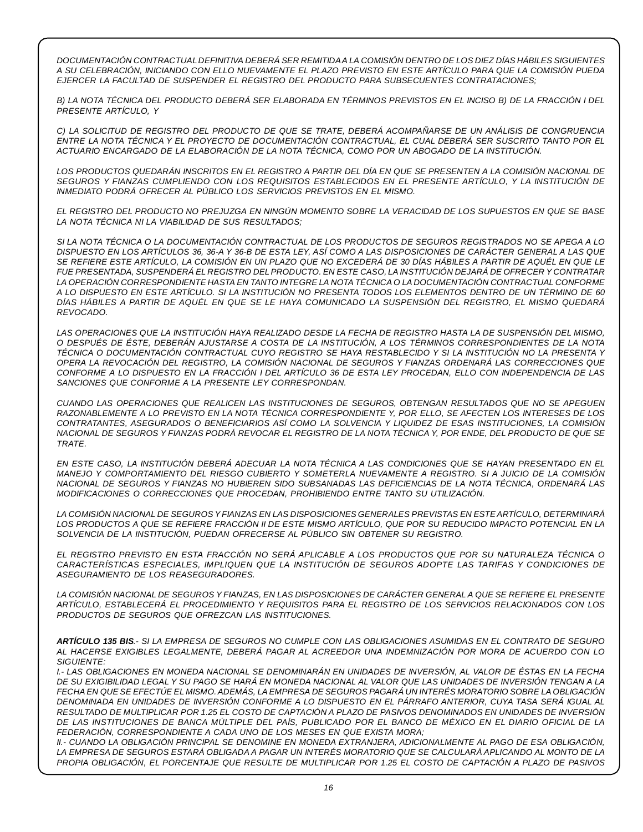*DOCUMENTACIÓN CONTRACTUALDEFINITIVA DEBERÁ SER REMITIDAA LA COMISIÓN DENTRO DE LOS DIEZ DÍAS HÁBILES SIGUIENTES* A SU CELEBRACIÓN, INICIANDO CON ELLO NUEVAMENTE EL PLAZO PREVISTO EN ESTE ARTÍCULO PARA QUE LA COMISIÓN PUEDA *EJERCER LA FACULTAD DE SUSPENDER EL REGISTRO DEL PRODUCTO PARA SUBSECUENTES CONTRATACIONES;*

B) LA NOTA TÉCNICA DEL PRODUCTO DEBERÁ SER ELABORADA EN TÉRMINOS PREVISTOS EN EL INCISO B) DE LA FRACCIÓN I DEL *PRESENTE ARTÍCULO, Y*

C) LA SOLICITUD DE REGISTRO DEL PRODUCTO DE QUE SE TRATE. DEBERÁ ACOMPAÑARSE DE UN ANÁLISIS DE CONGRUENCIA ENTRE LA NOTA TÉCNICA Y EL PROYECTO DE DOCUMENTACIÓN CONTRACTUAL, EL CUAL DEBERÁ SER SUSCRITO TANTO POR EL *ACTUARIO ENCARGADO DE LA ELABORACIÓN DE LA NOTA TÉCNICA, COMO POR UN ABOGADO DE LA INSTITUCIÓN.*

LOS PRODUCTOS QUEDARÁN INSCRITOS EN EL REGISTRO A PARTIR DEL DÍA EN QUE SE PRESENTEN A LA COMISIÓN NACIONAL DE *SEGUROS Y FIANZAS CUMPLIENDO CON LOS REQUISITOS ESTABLECIDOS EN EL PRESENTE ARTÍCULO, Y LA INSTITUCIÓN DE INMEDIATO PODRÁ OFRECER AL PÚBLICO LOS SERVICIOS PREVISTOS EN EL MISMO.*

EL REGISTRO DEL PRODUCTO NO PREJUZGA EN NINGÚN MOMENTO SOBRE LA VERACIDAD DE LOS SUPUESTOS EN QUE SE BASE *LA NOTA TÉCNICA NI LA VIABILIDAD DE SUS RESULTADOS;*

SI LA NOTA TÉCNICA O LA DOCUMENTACIÓN CONTRACTUAL DE LOS PRODUCTOS DE SEGUROS REGISTRADOS NO SE APEGA A LO DISPUESTO EN LOS ARTÍCULOS 36, 36-A Y 36-B DE ESTA LEY, ASÍ COMO A LAS DISPOSICIONES DE CARÁCTER GENERAL A LAS QUE SE REFIERE ESTE ARTÍCULO. LA COMISIÓN EN UN PLAZO QUE NO EXCEDERÁ DE 30 DÍAS HÁBILES A PARTIR DE AQUÉL EN QUE LE FUE PRESENTADA, SUSPENDERÁ EL REGISTRO DEL PRODUCTO. EN ESTE CASO, LA INSTITUCIÓN DEJARÁ DE OFRECER Y CONTRATAR *LA OPERACIÓN CORRESPONDIENTE HASTA EN TANTO INTEGRE LA NOTA TÉCNICA O LA DOCUMENTACIÓN CONTRACTUAL CONFORME* A LO DISPUESTO EN ESTE ARTÍCULO. SI LA INSTITUCIÓN NO PRESENTA TODOS LOS ELEMENTOS DENTRO DE UN TÉRMINO DE 60 DÍAS HÁBILES A PARTIR DE AQUÉL EN QUE SE LE HAYA COMUNICADO LA SUSPENSIÓN DEL REGISTRO, EL MISMO QUEDARÁ *REVOCADO.*

LAS OPERACIONES QUE LA INSTITUCIÓN HAYA REALIZADO DESDE LA FECHA DE REGISTRO HASTA LA DE SUSPENSIÓN DEL MISMO, O DESPUÉS DE ÉSTE, DEBERÁN AJUSTARSE A COSTA DE LA INSTITUCIÓN, A LOS TÉRMINOS CORRESPONDIENTES DE LA NOTA *TÉCNICA O DOCUMENTACIÓN CONTRACTUAL CUYO REGISTRO SE HAYA RESTABLECIDO Y SI LA INSTITUCIÓN NO LA PRESENTA Y OPERA LA REVOCACIÓN DEL REGISTRO, LA COMISIÓN NACIONAL DE SEGUROS Y FIANZAS ORDENARÁ LAS CORRECCIONES QUE* CONFORME A LO DISPUESTO EN LA FRACCIÓN I DEL ARTÍCULO 36 DE ESTA LEY PROCEDAN. ELLO CON INDEPENDENCIA DE LAS *SANCIONES QUE CONFORME A LA PRESENTE LEY CORRESPONDAN.*

*CUANDO LAS OPERACIONES QUE REALICEN LAS INSTITUCIONES DE SEGUROS, OBTENGAN RESULTADOS QUE NO SE APEGUEN* RAZONABLEMENTE A LO PREVISTO EN LA NOTA TÉCNICA CORRESPONDIENTE Y. POR ELLO, SE AFECTEN LOS INTERESES DE LOS *CONTRATANTES, ASEGURADOS O BENEFICIARIOS ASÍ COMO LA SOLVENCIA Y LIQUIDEZ DE ESAS INSTITUCIONES, LA COMISIÓN* NACIONAL DE SEGUROS Y FIANZAS PODRÁ REVOCAR EL REGISTRO DE LA NOTA TÉCNICA Y. POR ENDE. DEL PRODUCTO DE QUE SE *TRATE.*

EN ESTE CASO, LA INSTITUCIÓN DEBERÁ ADECUAR LA NOTA TÉCNICA A LAS CONDICIONES QUE SE HAYAN PRESENTADO EN EL *MANEJO Y COMPORTAMIENTO DEL RIESGO CUBIERTO Y SOMETERLA NUEVAMENTE A REGISTRO. SI A JUICIO DE LA COMISIÓN* NACIONAL DE SEGUROS Y FIANZAS NO HUBIEREN SIDO SUBSANADAS LAS DEFICIENCIAS DE LA NOTA TÉCNICA, ORDENARÁ LAS *MODIFICACIONES O CORRECCIONES QUE PROCEDAN, PROHIBIENDO ENTRE TANTO SU UTILIZACIÓN.*

*LA COMISIÓN NACIONAL DE SEGUROS YFIANZAS EN LAS DISPOSICIONES GENERALES PREVISTAS EN ESTEARTÍCULO, DETERMINARÁ* LOS PRODUCTOS A QUE SE REFIERE FRACCIÓN II DE ESTE MISMO ARTÍCULO, QUE POR SU REDUCIDO IMPACTO POTENCIAL EN LA *SOLVENCIA DE LA INSTITUCIÓN, PUEDAN OFRECERSE AL PÚBLICO SIN OBTENER SU REGISTRO.*

*EL REGISTRO PREVISTO EN ESTA FRACCIÓN NO SERÁ APLICABLE A LOS PRODUCTOS QUE POR SU NATURALEZA TÉCNICA O CARACTERÍSTICAS ESPECIALES, IMPLIQUEN QUE LA INSTITUCIÓN DE SEGUROS ADOPTE LAS TARIFAS Y CONDICIONES DE ASEGURAMIENTO DE LOS REASEGURADORES.*

LA COMISIÓN NACIONAL DE SEGUROS Y FIANZAS, EN LAS DISPOSICIONES DE CARÁCTER GENERAL A QUE SE REFIERE EL PRESENTE *ARTÍCULO, ESTABLECERÁ EL PROCEDIMIENTO Y REQUISITOS PARA EL REGISTRO DE LOS SERVICIOS RELACIONADOS CON LOS PRODUCTOS DE SEGUROS QUE OFREZCAN LAS INSTITUCIONES.*

ARTÍCULO 135 BIS.- SI LA EMPRESA DE SEGUROS NO CUMPLE CON LAS OBLIGACIONES ASUMIDAS EN EL CONTRATO DE SEGURO *AL HACERSE EXIGIBLES LEGALMENTE, DEBERÁ PAGAR AL ACREEDOR UNA INDEMNIZACIÓN POR MORA DE ACUERDO CON LO SIGUIENTE:*

I.- LAS OBLIGACIONES EN MONEDA NACIONAL SE DENOMINARÁN EN UNIDADES DE INVERSIÓN, AL VALOR DE ÉSTAS EN LA FECHA DE SU EXIGIBILIDAD LEGAL Y SU PAGO SE HARÁ EN MONEDA NACIONAL AL VALOR QUE LAS UNIDADES DE INVERSIÓN TENGAN A LA FECHA EN QUE SE EFECTÚE EL MISMO. ADEMÁS, LA EMPRESA DE SEGUROS PAGARÁ UN INTERÉS MORATORIO SOBRE LA OBLIGACIÓN DENOMINADA EN UNIDADES DE INVERSIÓN CONFORME A LO DISPUESTO EN EL PÁRRAFO ANTERIOR, CUYA TASA SERÁ IGUAL AL RESULTADO DE MULTIPLICAR POR 1.25 EL COSTO DE CAPTACIÓN A PLAZO DE PASIVOS DENOMINADOS EN UNIDADES DE INVERSIÓN DE LAS INSTITUCIONES DE BANCA MÚLTIPLE DEL PAÍS, PUBLICADO POR EL BANCO DE MÉXICO EN EL DIARIO OFICIAL DE LA *FEDERACIÓN, CORRESPONDIENTE A CADA UNO DE LOS MESES EN QUE EXISTA MORA;*

*II.- CUANDO LA OBLIGACIÓN PRINCIPAL SE DENOMINE EN MONEDA EXTRANJERA, ADICIONALMENTE AL PAGO DE ESA OBLIGACIÓN,* LA EMPRESA DE SEGUROS ESTARÁ OBLIGADA A PAGAR UN INTERÉS MORATORIO QUE SE CALCULARÁ APLICANDO AL MONTO DE LA PROPIA OBLIGACIÓN, EL PORCENTAJE QUE RESULTE DE MULTIPLICAR POR 1.25 EL COSTO DE CAPTACIÓN A PLAZO DE PASIVOS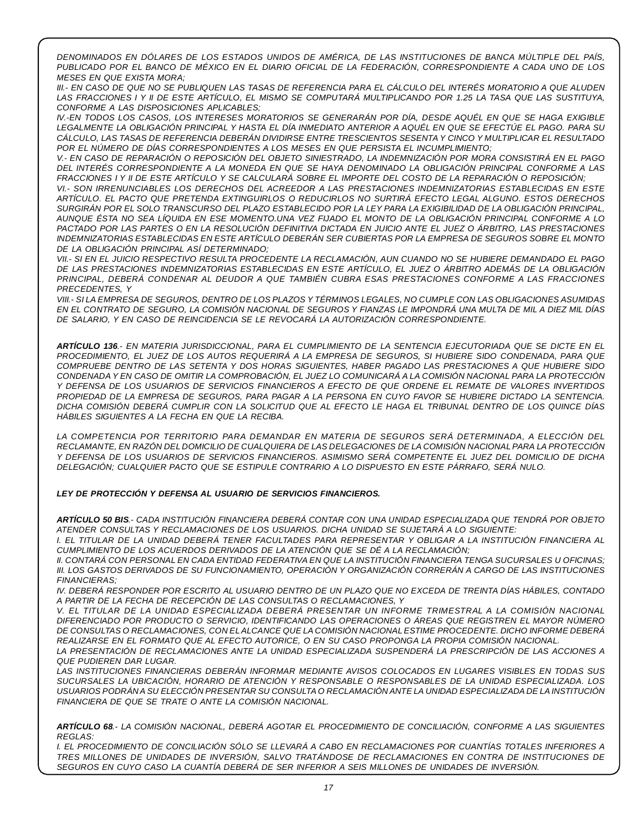*DENOMINADOS EN DÓLARES DE LOS ESTADOS UNIDOS DE AMÉRICA, DE LAS INSTITUCIONES DE BANCA MÚLTIPLE DEL PAÍS,* PUBLICADO POR EL BANCO DE MÉXICO EN EL DIARIO OFICIAL DE LA FEDERACIÓN. CORRESPONDIENTE A CADA UNO DE LOS *MESES EN QUE EXISTA MORA;*

III.- EN CASO DE QUE NO SE PUBLIQUEN LAS TASAS DE REFERENCIA PARA EL CÁLCULO DEL INTERÉS MORATORIO A QUE ALUDEN LAS FRACCIONES I Y II DE ESTE ARTÍCULO, EL MISMO SE COMPUTARÁ MULTIPLICANDO POR 1.25 LA TASA QUE LAS SUSTITUYA, *CONFORME A LAS DISPOSICIONES APLICABLES;*

IV.-EN TODOS LOS CASOS, LOS INTERESES MORATORIOS SE GENERARÁN POR DÍA, DESDE AQUÉL EN QUE SE HAGA EXIGIBLE LEGALMENTE LA OBLIGACIÓN PRINCIPAL Y HASTA EL DÍA INMEDIATO ANTERIOR A AQUÉL EN QUE SE EFECTÚE EL PAGO. PARA SU *CÁLCULO, LAS TASAS DE REFERENCIA DEBERÁN DIVIDIRSE ENTRE TRESCIENTOS SESENTA Y CINCO Y MULTIPLICAR EL RESULTADO POR EL NÚMERO DE DÍAS CORRESPONDIENTES A LOS MESES EN QUE PERSISTA EL INCUMPLIMIENTO;*

V.- EN CASO DE REPARACIÓN O REPOSICIÓN DEL OBJETO SINIESTRADO. LA INDEMNIZACIÓN POR MORA CONSISTIRÁ EN EL PAGO *DEL INTERÉS CORRESPONDIENTE A LA MONEDA EN QUE SE HAYA DENOMINADO LA OBLIGACIÓN PRINCIPAL CONFORME A LAS* FRACCIONES I Y II DE ESTE ARTÍCULO Y SE CALCULARÁ SOBRE EL IMPORTE DEL COSTO DE LA REPARACIÓN O REPOSICIÓN;

*VI.- SON IRRENUNCIABLES LOS DERECHOS DEL ACREEDOR A LAS PRESTACIONES INDEMNIZATORIAS ESTABLECIDAS EN ESTE ARTÍCULO. EL PACTO QUE PRETENDA EXTINGUIRLOS O REDUCIRLOS NO SURTIRÁ EFECTO LEGAL ALGUNO. ESTOS DERECHOS* SURGIRÁN POR EL SOLO TRANSCURSO DEL PLAZO ESTABLECIDO POR LA LEY PARA LA EXIGIBILIDAD DE LA OBLIGACIÓN PRINCIPAL. AUNQUE ÉSTA NO SEA LÍQUIDA EN ESE MOMENTO.UNA VEZ FIJADO EL MONTO DE LA OBLIGACIÓN PRINCIPAL CONFORME A LO PACTADO POR LAS PARTES O EN LA RESOLUCIÓN DEFINITIVA DICTADA EN JUICIO ANTE EL JUEZ O ÁRBITRO. LAS PRESTACIONES *INDEMNIZATORIAS ESTABLECIDAS EN ESTE ARTÍCULO DEBERÁN SER CUBIERTAS POR LA EMPRESA DE SEGUROS SOBRE EL MONTO DE LA OBLIGACIÓN PRINCIPAL ASÍ DETERMINADO;*

VII.- SI EN EL JUICIO RESPECTIVO RESULTA PROCEDENTE LA RECLAMACIÓN, AUN CUANDO NO SE HUBIERE DEMANDADO EL PAGO *DE LAS PRESTACIONES INDEMNIZATORIAS ESTABLECIDAS EN ESTE ARTÍCULO, EL JUEZ O ÁRBITRO ADEMÁS DE LA OBLIGACIÓN PRINCIPAL, DEBERÁ CONDENAR AL DEUDOR A QUE TAMBIÉN CUBRA ESAS PRESTACIONES CONFORME A LAS FRACCIONES PRECEDENTES, Y*

VIII.- SI LA EMPRESA DE SEGUROS, DENTRO DE LOS PLAZOS Y TÉRMINOS LEGALES, NO CUMPLE CON LAS OBLIGACIONES ASUMIDAS EN EL CONTRATO DE SEGURO, LA COMISIÓN NACIONAL DE SEGUROS Y FIANZAS LE IMPONDRÁ UNA MULTA DE MIL A DIEZ MIL DÍAS *DE SALARIO, Y EN CASO DE REINCIDENCIA SE LE REVOCARÁ LA AUTORIZACIÓN CORRESPONDIENTE.*

ARTÍCULO 136.- EN MATERIA JURISDICCIONAL, PARA EL CUMPLIMIENTO DE LA SENTENCIA EJECUTORIADA QUE SE DICTE EN EL PROCEDIMIENTO, EL JUEZ DE LOS AUTOS REQUERIRÁ A LA EMPRESA DE SEGUROS, SI HUBIERE SIDO CONDENADA, PARA QUE *COMPRUEBE DENTRO DE LAS SETENTA Y DOS HORAS SIGUIENTES, HABER PAGADO LAS PRESTACIONES A QUE HUBIERE SIDO* CONDENADA Y EN CASO DE OMITIR LA COMPROBACIÓN, EL JUEZ LO COMUNICARÁ A LA COMISIÓN NACIONAL PARA LA PROTECCIÓN Y DEFENSA DE LOS USUARIOS DE SERVICIOS FINANCIEROS A EFECTO DE QUE ORDENE EL REMATE DE VALORES INVERTIDOS PROPIEDAD DE LA EMPRESA DE SEGUROS, PARA PAGAR A LA PERSONA EN CUYO FAVOR SE HUBIERE DICTADO LA SENTENCIA. DICHA COMISIÓN DEBERÁ CUMPLIR CON LA SOLICITUD QUE AL EFECTO LE HAGA EL TRIBUNAL DENTRO DE LOS QUINCE DÍAS *HÁBILES SIGUIENTES A LA FECHA EN QUE LA RECIBA.*

*LA COMPETENCIA POR TERRITORIO PARA DEMANDAR EN MATERIA DE SEGUROS SERÁ DETERMINADA, A ELECCIÓN DEL* RECLAMANTE, EN RAZÓN DEL DOMICILIO DE CUAL QUIERA DE LAS DELEGACIONES DE LA COMISIÓN NACIONAL PARA LA PROTECCIÓN Y DEFENSA DE LOS USUARIOS DE SERVICIOS FINANCIEROS. ASIMISMO SERÁ COMPETENTE EL JUEZ DEL DOMICILIO DE DICHA *DELEGACIÓN; CUALQUIER PACTO QUE SE ESTIPULE CONTRARIO A LO DISPUESTO EN ESTE PÁRRAFO, SERÁ NULO.*

#### *LEY DE PROTECCIÓN Y DEFENSA AL USUARIO DE SERVICIOS FINANCIEROS.*

ARTÍCULO 50 BIS.- CADA INSTITUCIÓN FINANCIERA DEBERÁ CONTAR CON UNA UNIDAD ESPECIALIZADA QUE TENDRÁ POR OBJETO *ATENDER CONSULTAS Y RECLAMACIONES DE LOS USUARIOS. DICHA UNIDAD SE SUJETARÁ A LO SIGUIENTE:*

I. EL TITULAR DE LA UNIDAD DEBERÁ TENER FACULTADES PARA REPRESENTAR Y OBLIGAR A LA INSTITUCIÓN FINANCIERA AL *CUMPLIMIENTO DE LOS ACUERDOS DERIVADOS DE LA ATENCIÓN QUE SE DÉ A LA RECLAMACIÓN;*

II. CONTARÁ CON PERSONAL EN CADA ENTIDAD FEDERATIVA EN QUE LA INSTITUCIÓN FINANCIERA TENGA SUCURSALES U OFICINAS; *III. LOS GASTOS DERIVADOS DE SU FUNCIONAMIENTO, OPERACIÓN Y ORGANIZACIÓN CORRERÁN A CARGO DE LAS INSTITUCIONES FINANCIERAS;*

IV. DEBERÁ RESPONDER POR ESCRITO AL USUARIO DENTRO DE UN PLAZO QUE NO EXCEDA DE TREINTA DÍAS HÁBILES, CONTADO *A PARTIR DE LA FECHA DE RECEPCIÓN DE LAS CONSULTAS O RECLAMACIONES, Y*

*V. EL TITULAR DE LA UNIDAD ESPECIALIZADA DEBERÁ PRESENTAR UN INFORME TRIMESTRAL A LA COMISIÓN NACIONAL DIFERENCIADO POR PRODUCTO O SERVICIO, IDENTIFICANDO LAS OPERACIONES O ÁREAS QUE REGISTREN EL MAYOR NÚMERO DE CONSULTAS O RECLAMACIONES, CON ELALCANCE QUE LA COMISIÓN NACIONAL ESTIME PROCEDENTE. DICHO INFORME DEBERÁ REALIZARSE EN EL FORMATO QUE AL EFECTO AUTORICE, O EN SU CASO PROPONGA LA PROPIA COMISIÓN NACIONAL.*

*LA PRESENTACIÓN DE RECLAMACIONES ANTE LA UNIDAD ESPECIALIZADA SUSPENDERÁ LA PRESCRIPCIÓN DE LAS ACCIONES A QUE PUDIEREN DAR LUGAR.*

*LAS INSTITUCIONES FINANCIERAS DEBERÁN INFORMAR MEDIANTE AVISOS COLOCADOS EN LUGARES VISIBLES EN TODAS SUS SUCURSALES LA UBICACIÓN, HORARIO DE ATENCIÓN Y RESPONSABLE O RESPONSABLES DE LA UNIDAD ESPECIALIZADA. LOS* USUARIOS PODRÁN A SU ELECCIÓN PRESENTAR SU CONSULTA O RECLAMACIÓN ANTE LA UNIDAD ESPECIALIZADA DE LA INSTITUCIÓN *FINANCIERA DE QUE SE TRATE O ANTE LA COMISIÓN NACIONAL.*

*ARTÍCULO 68.- LA COMISIÓN NACIONAL, DEBERÁ AGOTAR EL PROCEDIMIENTO DE CONCILIACIÓN, CONFORME A LAS SIGUIENTES REGLAS:*

*I. EL PROCEDIMIENTO DE CONCILIACIÓN SÓLO SE LLEVARÁ A CABO EN RECLAMACIONES POR CUANTÍAS TOTALES INFERIORES A TRES MILLONES DE UNIDADES DE INVERSIÓN, SALVO TRATÁNDOSE DE RECLAMACIONES EN CONTRA DE INSTITUCIONES DE SEGUROS EN CUYO CASO LA CUANTÍA DEBERÁ DE SER INFERIOR A SEIS MILLONES DE UNIDADES DE INVERSIÓN.*